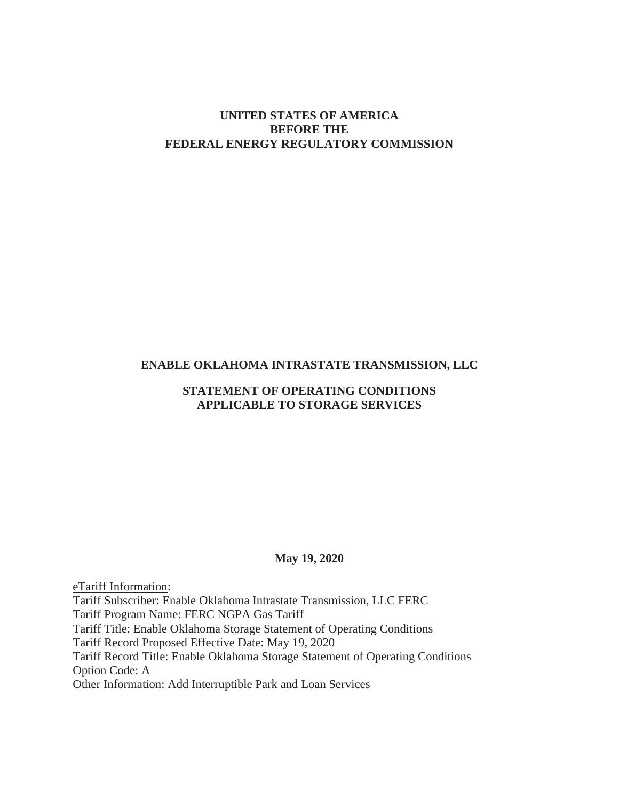# **UNITED STATES OF AMERICA BEFORE THE FEDERAL ENERGY REGULATORY COMMISSION**

# **ENABLE OKLAHOMA INTRASTATE TRANSMISSION, LLC**

# **STATEMENT OF OPERATING CONDITIONS APPLICABLE TO STORAGE SERVICES**

#### **May 19, 2020**

eTariff Information: Tariff Subscriber: Enable Oklahoma Intrastate Transmission, LLC FERC Tariff Program Name: FERC NGPA Gas Tariff Tariff Title: Enable Oklahoma Storage Statement of Operating Conditions Tariff Record Proposed Effective Date: May 19, 2020 Tariff Record Title: Enable Oklahoma Storage Statement of Operating Conditions Option Code: A Other Information: Add Interruptible Park and Loan Services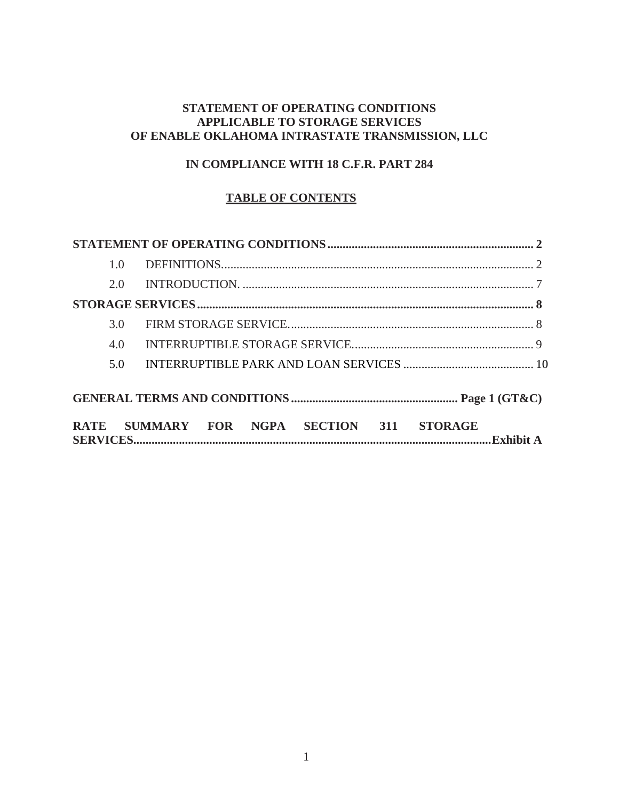# **STATEMENT OF OPERATING CONDITIONS APPLICABLE TO STORAGE SERVICES OF ENABLE OKLAHOMA INTRASTATE TRANSMISSION, LLC**

# **IN COMPLIANCE WITH 18 C.F.R. PART 284**

# **TABLE OF CONTENTS**

|             | 1.0 |                                                   |  |  |  |  |
|-------------|-----|---------------------------------------------------|--|--|--|--|
|             | 2.0 |                                                   |  |  |  |  |
|             |     |                                                   |  |  |  |  |
|             | 3.0 |                                                   |  |  |  |  |
|             | 4.0 |                                                   |  |  |  |  |
|             | 5.0 |                                                   |  |  |  |  |
|             |     |                                                   |  |  |  |  |
| <b>RATE</b> |     | SUMMARY FOR NGPA<br>SECTION 311<br><b>STORAGE</b> |  |  |  |  |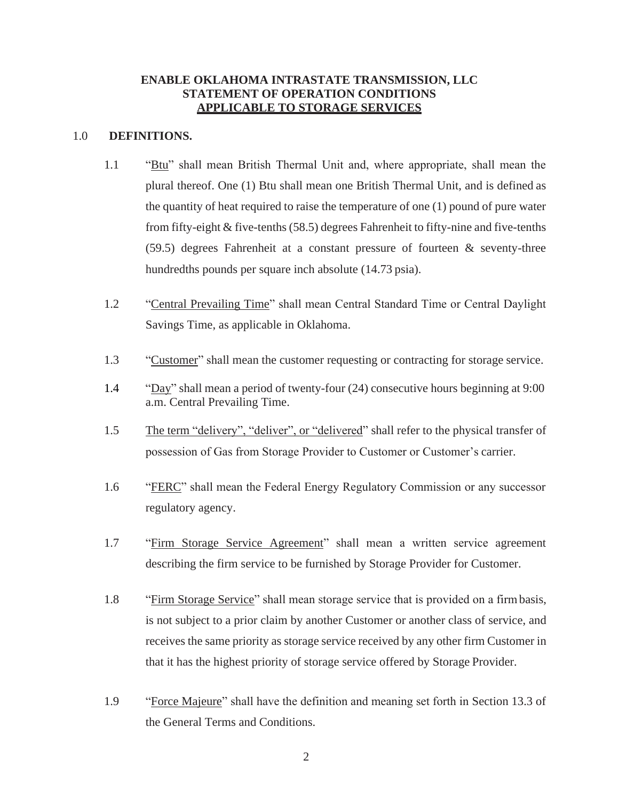# **ENABLE OKLAHOMA INTRASTATE TRANSMISSION, LLC STATEMENT OF OPERATION CONDITIONS APPLICABLE TO STORAGE SERVICES**

#### 1.0 **DEFINITIONS.**

- 1.1 "Btu" shall mean British Thermal Unit and, where appropriate, shall mean the plural thereof. One (1) Btu shall mean one British Thermal Unit, and is defined as the quantity of heat required to raise the temperature of one (1) pound of pure water from fifty-eight & five-tenths (58.5) degrees Fahrenheit to fifty-nine and five-tenths (59.5) degrees Fahrenheit at a constant pressure of fourteen & seventy-three hundredths pounds per square inch absolute (14.73 psia).
- 1.2 "Central Prevailing Time" shall mean Central Standard Time or Central Daylight Savings Time, as applicable in Oklahoma.
- 1.3 "Customer" shall mean the customer requesting or contracting for storage service.
- 1.4 "Day" shall mean a period of twenty-four (24) consecutive hours beginning at 9:00 a.m. Central Prevailing Time.
- 1.5 The term "delivery", "deliver", or "delivered" shall refer to the physical transfer of possession of Gas from Storage Provider to Customer or Customer's carrier.
- 1.6 "FERC" shall mean the Federal Energy Regulatory Commission or any successor regulatory agency.
- 1.7 "Firm Storage Service Agreement" shall mean a written service agreement describing the firm service to be furnished by Storage Provider for Customer.
- 1.8 "Firm Storage Service" shall mean storage service that is provided on a firmbasis, is not subject to a prior claim by another Customer or another class of service, and receives the same priority as storage service received by any other firm Customer in that it has the highest priority of storage service offered by Storage Provider.
- 1.9 "Force Majeure" shall have the definition and meaning set forth in Section 13.3 of the General Terms and Conditions.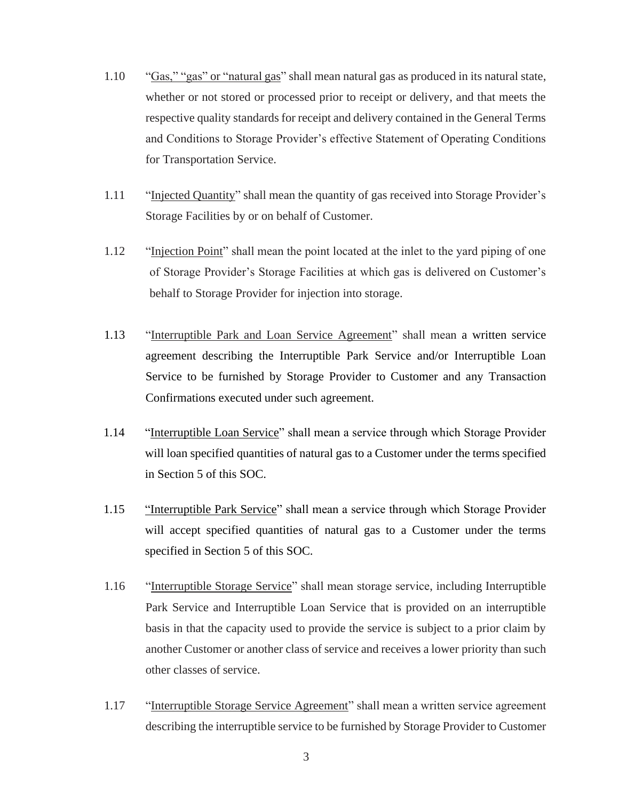- 1.10 "Gas," "gas" or "natural gas" shall mean natural gas as produced in its natural state, whether or not stored or processed prior to receipt or delivery, and that meets the respective quality standards for receipt and delivery contained in the General Terms and Conditions to Storage Provider's effective Statement of Operating Conditions for Transportation Service.
- 1.11 "Injected Quantity" shall mean the quantity of gas received into Storage Provider's Storage Facilities by or on behalf of Customer.
- 1.12 "Injection Point" shall mean the point located at the inlet to the yard piping of one of Storage Provider's Storage Facilities at which gas is delivered on Customer's behalf to Storage Provider for injection into storage.
- 1.13 "Interruptible Park and Loan Service Agreement" shall mean a written service agreement describing the Interruptible Park Service and/or Interruptible Loan Service to be furnished by Storage Provider to Customer and any Transaction Confirmations executed under such agreement.
- 1.14 "Interruptible Loan Service" shall mean a service through which Storage Provider will loan specified quantities of natural gas to a Customer under the terms specified in Section 5 of this SOC.
- 1.15 "Interruptible Park Service" shall mean a service through which Storage Provider will accept specified quantities of natural gas to a Customer under the terms specified in Section 5 of this SOC.
- 1.16 "Interruptible Storage Service" shall mean storage service, including Interruptible Park Service and Interruptible Loan Service that is provided on an interruptible basis in that the capacity used to provide the service is subject to a prior claim by another Customer or another class of service and receives a lower priority than such other classes of service.
- 1.17 "Interruptible Storage Service Agreement" shall mean a written service agreement describing the interruptible service to be furnished by Storage Provider to Customer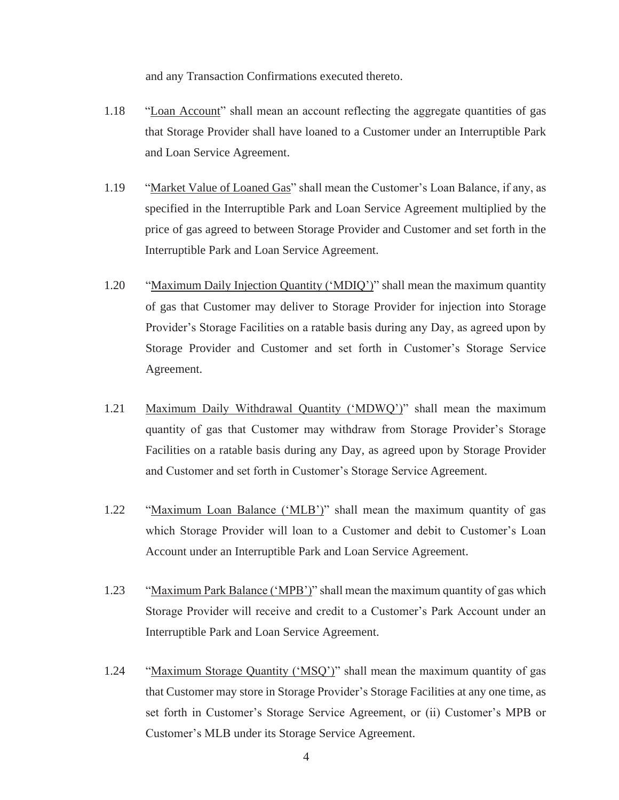and any Transaction Confirmations executed thereto.

- 1.18 "Loan Account" shall mean an account reflecting the aggregate quantities of gas that Storage Provider shall have loaned to a Customer under an Interruptible Park and Loan Service Agreement.
- 1.19 "Market Value of Loaned Gas" shall mean the Customer's Loan Balance, if any, as specified in the Interruptible Park and Loan Service Agreement multiplied by the price of gas agreed to between Storage Provider and Customer and set forth in the Interruptible Park and Loan Service Agreement.
- 1.20 "Maximum Daily Injection Quantity ('MDIQ')" shall mean the maximum quantity of gas that Customer may deliver to Storage Provider for injection into Storage Provider's Storage Facilities on a ratable basis during any Day, as agreed upon by Storage Provider and Customer and set forth in Customer's Storage Service Agreement.
- 1.21 Maximum Daily Withdrawal Quantity ('MDWQ')" shall mean the maximum quantity of gas that Customer may withdraw from Storage Provider's Storage Facilities on a ratable basis during any Day, as agreed upon by Storage Provider and Customer and set forth in Customer's Storage Service Agreement.
- 1.22 "Maximum Loan Balance ('MLB')" shall mean the maximum quantity of gas which Storage Provider will loan to a Customer and debit to Customer's Loan Account under an Interruptible Park and Loan Service Agreement.
- 1.23 "Maximum Park Balance ('MPB')" shall mean the maximum quantity of gas which Storage Provider will receive and credit to a Customer's Park Account under an Interruptible Park and Loan Service Agreement.
- 1.24 "Maximum Storage Quantity ('MSQ')" shall mean the maximum quantity of gas that Customer may store in Storage Provider's Storage Facilities at any one time, as set forth in Customer's Storage Service Agreement, or (ii) Customer's MPB or Customer's MLB under its Storage Service Agreement.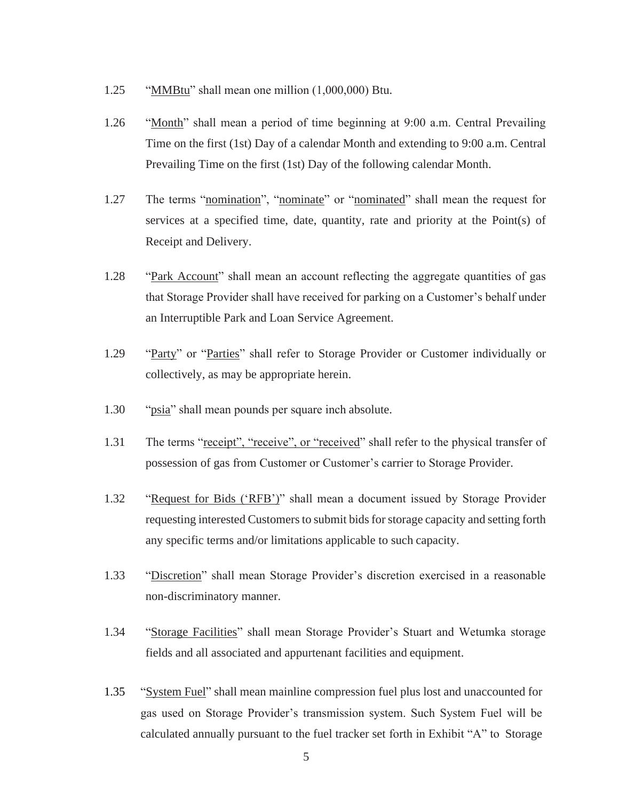- 1.25 "MMBtu" shall mean one million (1,000,000) Btu.
- 1.26 "Month" shall mean a period of time beginning at 9:00 a.m. Central Prevailing Time on the first (1st) Day of a calendar Month and extending to 9:00 a.m. Central Prevailing Time on the first (1st) Day of the following calendar Month.
- 1.27 The terms "nomination", "nominate" or "nominated" shall mean the request for services at a specified time, date, quantity, rate and priority at the Point(s) of Receipt and Delivery.
- 1.28 "Park Account" shall mean an account reflecting the aggregate quantities of gas that Storage Provider shall have received for parking on a Customer's behalf under an Interruptible Park and Loan Service Agreement.
- 1.29 "Party" or "Parties" shall refer to Storage Provider or Customer individually or collectively, as may be appropriate herein.
- 1.30 "psia" shall mean pounds per square inch absolute.
- 1.31 The terms "receipt", "receive", or "received" shall refer to the physical transfer of possession of gas from Customer or Customer's carrier to Storage Provider.
- 1.32 "Request for Bids ('RFB')" shall mean a document issued by Storage Provider requesting interested Customers to submit bids for storage capacity and setting forth any specific terms and/or limitations applicable to such capacity.
- 1.33 "Discretion" shall mean Storage Provider's discretion exercised in a reasonable non-discriminatory manner.
- 1.34 "Storage Facilities" shall mean Storage Provider's Stuart and Wetumka storage fields and all associated and appurtenant facilities and equipment.
- 1.35 "System Fuel" shall mean mainline compression fuel plus lost and unaccounted for gas used on Storage Provider's transmission system. Such System Fuel will be calculated annually pursuant to the fuel tracker set forth in Exhibit "A" to Storage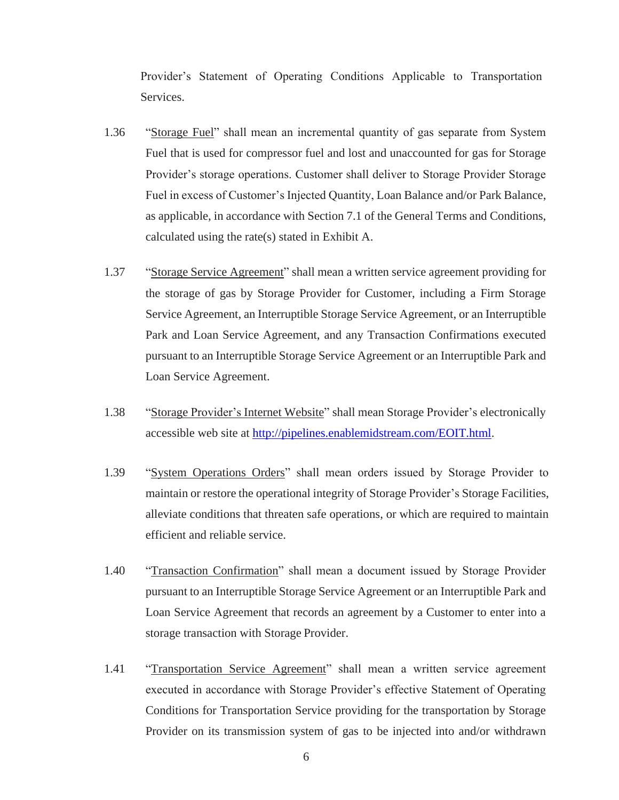Provider's Statement of Operating Conditions Applicable to Transportation Services.

- 1.36 "Storage Fuel" shall mean an incremental quantity of gas separate from System Fuel that is used for compressor fuel and lost and unaccounted for gas for Storage Provider's storage operations. Customer shall deliver to Storage Provider Storage Fuel in excess of Customer's Injected Quantity, Loan Balance and/or Park Balance, as applicable, in accordance with Section 7.1 of the General Terms and Conditions, calculated using the rate(s) stated in Exhibit A.
- 1.37 "Storage Service Agreement" shall mean a written service agreement providing for the storage of gas by Storage Provider for Customer, including a Firm Storage Service Agreement, an Interruptible Storage Service Agreement, or an Interruptible Park and Loan Service Agreement, and any Transaction Confirmations executed pursuant to an Interruptible Storage Service Agreement or an Interruptible Park and Loan Service Agreement.
- 1.38 "Storage Provider's Internet Website" shall mean Storage Provider's electronically accessible web site at [http://pipelines.enablemidstream.com/EOIT.html.](http://pipelines.enablemidstream.com/EOIT.html)
- 1.39 "System Operations Orders" shall mean orders issued by Storage Provider to maintain or restore the operational integrity of Storage Provider's Storage Facilities, alleviate conditions that threaten safe operations, or which are required to maintain efficient and reliable service.
- 1.40 "Transaction Confirmation" shall mean a document issued by Storage Provider pursuant to an Interruptible Storage Service Agreement or an Interruptible Park and Loan Service Agreement that records an agreement by a Customer to enter into a storage transaction with Storage Provider.
- 1.41 "Transportation Service Agreement" shall mean a written service agreement executed in accordance with Storage Provider's effective Statement of Operating Conditions for Transportation Service providing for the transportation by Storage Provider on its transmission system of gas to be injected into and/or withdrawn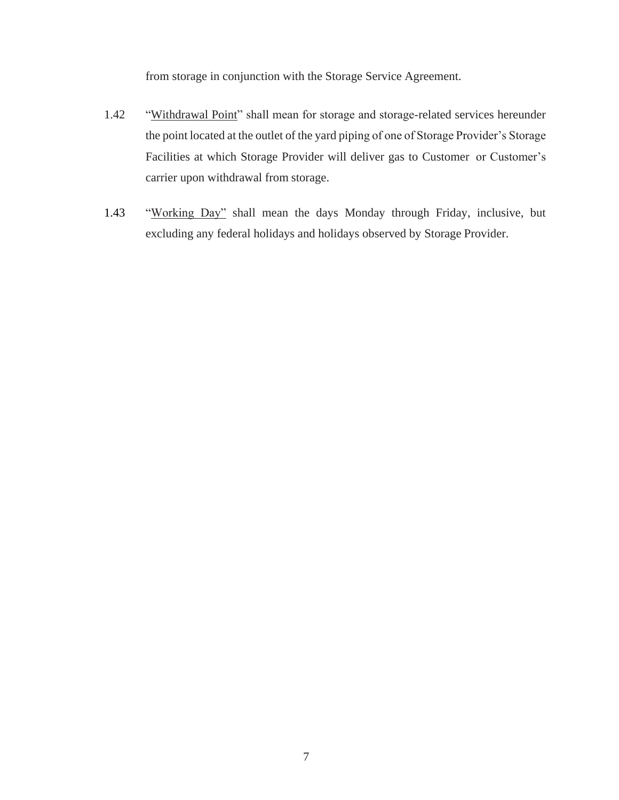from storage in conjunction with the Storage Service Agreement.

- 1.42 "Withdrawal Point" shall mean for storage and storage-related services hereunder the point located at the outlet of the yard piping of one of Storage Provider's Storage Facilities at which Storage Provider will deliver gas to Customer or Customer's carrier upon withdrawal from storage.
- 1.43 "Working Day" shall mean the days Monday through Friday, inclusive, but excluding any federal holidays and holidays observed by Storage Provider.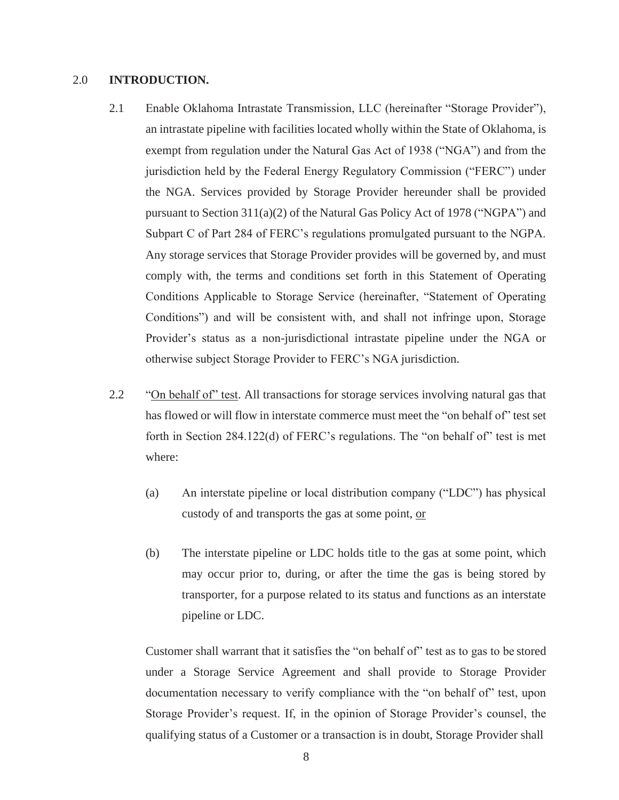#### 2.0 **INTRODUCTION.**

- 2.1 Enable Oklahoma Intrastate Transmission, LLC (hereinafter "Storage Provider"), an intrastate pipeline with facilities located wholly within the State of Oklahoma, is exempt from regulation under the Natural Gas Act of 1938 ("NGA") and from the jurisdiction held by the Federal Energy Regulatory Commission ("FERC") under the NGA. Services provided by Storage Provider hereunder shall be provided pursuant to Section 311(a)(2) of the Natural Gas Policy Act of 1978 ("NGPA") and Subpart C of Part 284 of FERC's regulations promulgated pursuant to the NGPA. Any storage services that Storage Provider provides will be governed by, and must comply with, the terms and conditions set forth in this Statement of Operating Conditions Applicable to Storage Service (hereinafter, "Statement of Operating Conditions") and will be consistent with, and shall not infringe upon, Storage Provider's status as a non-jurisdictional intrastate pipeline under the NGA or otherwise subject Storage Provider to FERC's NGA jurisdiction.
- 2.2 "On behalf of" test. All transactions for storage services involving natural gas that has flowed or will flow in interstate commerce must meet the "on behalf of" test set forth in Section 284.122(d) of FERC's regulations. The "on behalf of" test is met where:
	- (a) An interstate pipeline or local distribution company ("LDC") has physical custody of and transports the gas at some point, or
	- (b) The interstate pipeline or LDC holds title to the gas at some point, which may occur prior to, during, or after the time the gas is being stored by transporter, for a purpose related to its status and functions as an interstate pipeline or LDC.

Customer shall warrant that it satisfies the "on behalf of" test as to gas to be stored under a Storage Service Agreement and shall provide to Storage Provider documentation necessary to verify compliance with the "on behalf of" test, upon Storage Provider's request. If, in the opinion of Storage Provider's counsel, the qualifying status of a Customer or a transaction is in doubt, Storage Provider shall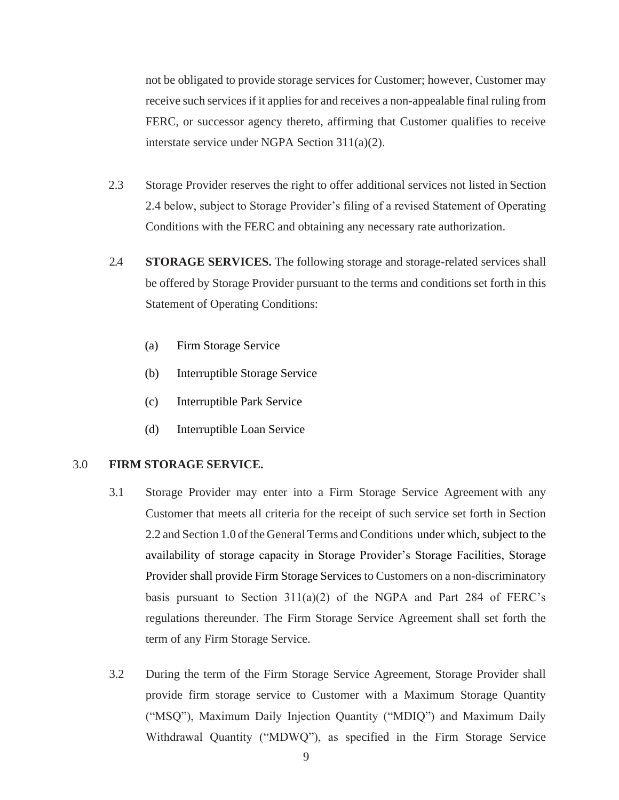not be obligated to provide storage services for Customer; however, Customer may receive such services if it applies for and receives a non-appealable final ruling from FERC, or successor agency thereto, affirming that Customer qualifies to receive interstate service under NGPA Section 311(a)(2).

- 2.3 Storage Provider reserves the right to offer additional services not listed in Section 2.4 below, subject to Storage Provider's filing of a revised Statement of Operating Conditions with the FERC and obtaining any necessary rate authorization.
- 2.4 **STORAGE SERVICES.** The following storage and storage-related services shall be offered by Storage Provider pursuant to the terms and conditions set forth in this Statement of Operating Conditions:
	- (a) Firm Storage Service
	- (b) Interruptible Storage Service
	- (c) Interruptible Park Service
	- (d) Interruptible Loan Service

#### 3.0 **FIRM STORAGE SERVICE.**

- 3.1 Storage Provider may enter into a Firm Storage Service Agreement with any Customer that meets all criteria for the receipt of such service set forth in Section 2.2 and Section 1.0 of the General Terms and Conditions under which, subject to the availability of storage capacity in Storage Provider's Storage Facilities, Storage Provider shall provide Firm Storage Services to Customers on a non-discriminatory basis pursuant to Section  $311(a)(2)$  of the NGPA and Part 284 of FERC's regulations thereunder. The Firm Storage Service Agreement shall set forth the term of any Firm Storage Service.
- 3.2 During the term of the Firm Storage Service Agreement, Storage Provider shall provide firm storage service to Customer with a Maximum Storage Quantity ("MSQ"), Maximum Daily Injection Quantity ("MDIQ") and Maximum Daily Withdrawal Quantity ("MDWQ"), as specified in the Firm Storage Service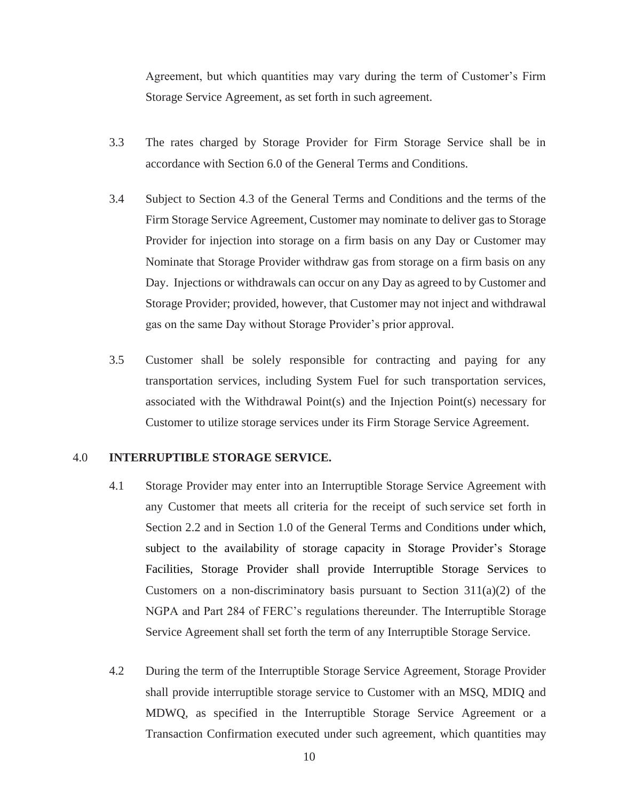Agreement, but which quantities may vary during the term of Customer's Firm Storage Service Agreement, as set forth in such agreement.

- 3.3 The rates charged by Storage Provider for Firm Storage Service shall be in accordance with Section 6.0 of the General Terms and Conditions.
- 3.4 Subject to Section 4.3 of the General Terms and Conditions and the terms of the Firm Storage Service Agreement, Customer may nominate to deliver gas to Storage Provider for injection into storage on a firm basis on any Day or Customer may Nominate that Storage Provider withdraw gas from storage on a firm basis on any Day. Injections or withdrawals can occur on any Day as agreed to by Customer and Storage Provider; provided, however, that Customer may not inject and withdrawal gas on the same Day without Storage Provider's prior approval.
- 3.5 Customer shall be solely responsible for contracting and paying for any transportation services, including System Fuel for such transportation services, associated with the Withdrawal Point(s) and the Injection Point(s) necessary for Customer to utilize storage services under its Firm Storage Service Agreement.

# 4.0 **INTERRUPTIBLE STORAGE SERVICE.**

- 4.1 Storage Provider may enter into an Interruptible Storage Service Agreement with any Customer that meets all criteria for the receipt of such service set forth in Section 2.2 and in Section 1.0 of the General Terms and Conditions under which, subject to the availability of storage capacity in Storage Provider's Storage Facilities, Storage Provider shall provide Interruptible Storage Services to Customers on a non-discriminatory basis pursuant to Section  $311(a)(2)$  of the NGPA and Part 284 of FERC's regulations thereunder. The Interruptible Storage Service Agreement shall set forth the term of any Interruptible Storage Service.
- 4.2 During the term of the Interruptible Storage Service Agreement, Storage Provider shall provide interruptible storage service to Customer with an MSQ, MDIQ and MDWQ, as specified in the Interruptible Storage Service Agreement or a Transaction Confirmation executed under such agreement, which quantities may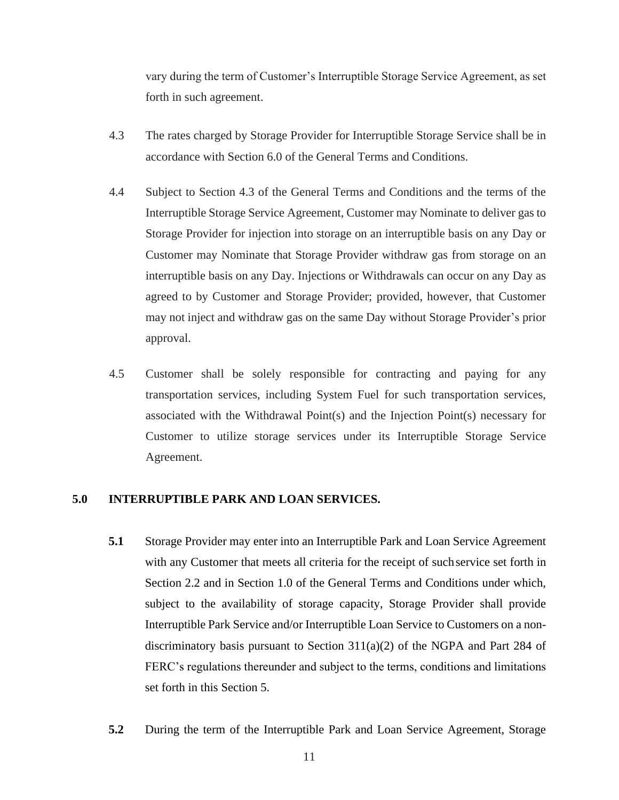vary during the term of Customer's Interruptible Storage Service Agreement, as set forth in such agreement.

- 4.3 The rates charged by Storage Provider for Interruptible Storage Service shall be in accordance with Section 6.0 of the General Terms and Conditions.
- 4.4 Subject to Section 4.3 of the General Terms and Conditions and the terms of the Interruptible Storage Service Agreement, Customer may Nominate to deliver gas to Storage Provider for injection into storage on an interruptible basis on any Day or Customer may Nominate that Storage Provider withdraw gas from storage on an interruptible basis on any Day. Injections or Withdrawals can occur on any Day as agreed to by Customer and Storage Provider; provided, however, that Customer may not inject and withdraw gas on the same Day without Storage Provider's prior approval.
- 4.5 Customer shall be solely responsible for contracting and paying for any transportation services, including System Fuel for such transportation services, associated with the Withdrawal Point(s) and the Injection Point(s) necessary for Customer to utilize storage services under its Interruptible Storage Service Agreement.

#### **5.0 INTERRUPTIBLE PARK AND LOAN SERVICES.**

- **5.1** Storage Provider may enter into an Interruptible Park and Loan Service Agreement with any Customer that meets all criteria for the receipt of suchservice set forth in Section 2.2 and in Section 1.0 of the General Terms and Conditions under which, subject to the availability of storage capacity, Storage Provider shall provide Interruptible Park Service and/or Interruptible Loan Service to Customers on a nondiscriminatory basis pursuant to Section  $311(a)(2)$  of the NGPA and Part 284 of FERC's regulations thereunder and subject to the terms, conditions and limitations set forth in this Section 5.
- **5.2** During the term of the Interruptible Park and Loan Service Agreement, Storage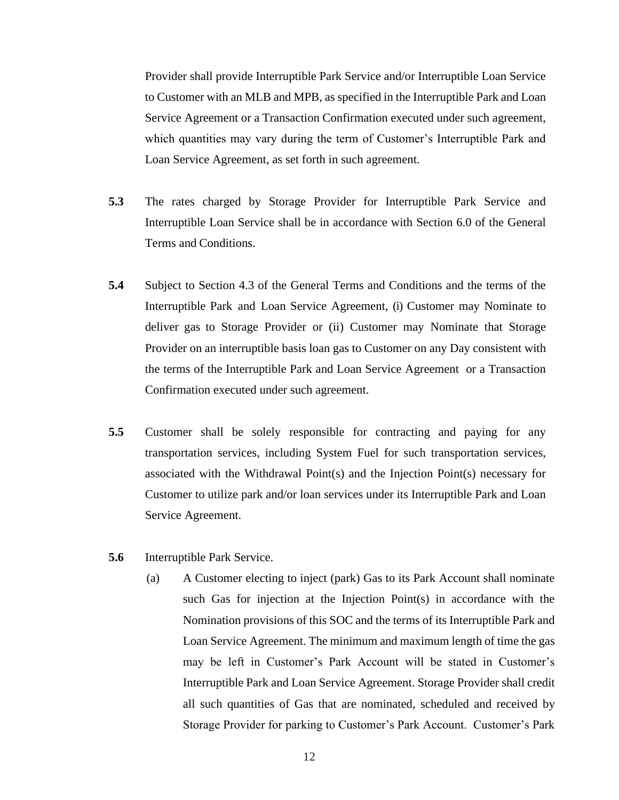Provider shall provide Interruptible Park Service and/or Interruptible Loan Service to Customer with an MLB and MPB, as specified in the Interruptible Park and Loan Service Agreement or a Transaction Confirmation executed under such agreement, which quantities may vary during the term of Customer's Interruptible Park and Loan Service Agreement, as set forth in such agreement.

- **5.3** The rates charged by Storage Provider for Interruptible Park Service and Interruptible Loan Service shall be in accordance with Section 6.0 of the General Terms and Conditions.
- **5.4** Subject to Section 4.3 of the General Terms and Conditions and the terms of the Interruptible Park and Loan Service Agreement, (i) Customer may Nominate to deliver gas to Storage Provider or (ii) Customer may Nominate that Storage Provider on an interruptible basis loan gas to Customer on any Day consistent with the terms of the Interruptible Park and Loan Service Agreement or a Transaction Confirmation executed under such agreement.
- **5.5** Customer shall be solely responsible for contracting and paying for any transportation services, including System Fuel for such transportation services, associated with the Withdrawal Point(s) and the Injection Point(s) necessary for Customer to utilize park and/or loan services under its Interruptible Park and Loan Service Agreement.
- **5.6** Interruptible Park Service.
	- (a) A Customer electing to inject (park) Gas to its Park Account shall nominate such Gas for injection at the Injection Point(s) in accordance with the Nomination provisions of this SOC and the terms of its Interruptible Park and Loan Service Agreement. The minimum and maximum length of time the gas may be left in Customer's Park Account will be stated in Customer's Interruptible Park and Loan Service Agreement. Storage Provider shall credit all such quantities of Gas that are nominated, scheduled and received by Storage Provider for parking to Customer's Park Account. Customer's Park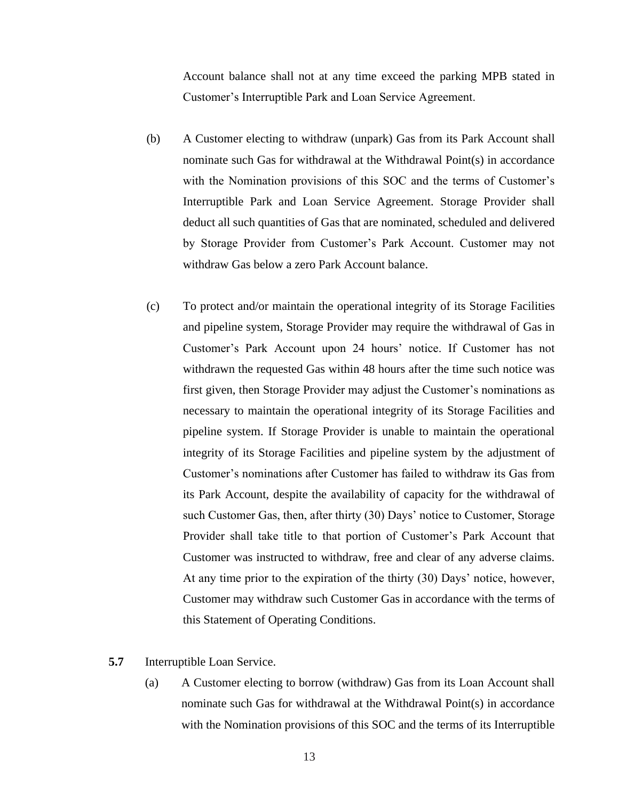Account balance shall not at any time exceed the parking MPB stated in Customer's Interruptible Park and Loan Service Agreement.

- (b) A Customer electing to withdraw (unpark) Gas from its Park Account shall nominate such Gas for withdrawal at the Withdrawal Point(s) in accordance with the Nomination provisions of this SOC and the terms of Customer's Interruptible Park and Loan Service Agreement. Storage Provider shall deduct all such quantities of Gas that are nominated, scheduled and delivered by Storage Provider from Customer's Park Account. Customer may not withdraw Gas below a zero Park Account balance.
- (c) To protect and/or maintain the operational integrity of its Storage Facilities and pipeline system, Storage Provider may require the withdrawal of Gas in Customer's Park Account upon 24 hours' notice. If Customer has not withdrawn the requested Gas within 48 hours after the time such notice was first given, then Storage Provider may adjust the Customer's nominations as necessary to maintain the operational integrity of its Storage Facilities and pipeline system. If Storage Provider is unable to maintain the operational integrity of its Storage Facilities and pipeline system by the adjustment of Customer's nominations after Customer has failed to withdraw its Gas from its Park Account, despite the availability of capacity for the withdrawal of such Customer Gas, then, after thirty (30) Days' notice to Customer, Storage Provider shall take title to that portion of Customer's Park Account that Customer was instructed to withdraw, free and clear of any adverse claims. At any time prior to the expiration of the thirty (30) Days' notice, however, Customer may withdraw such Customer Gas in accordance with the terms of this Statement of Operating Conditions.
- **5.7** Interruptible Loan Service.
	- (a) A Customer electing to borrow (withdraw) Gas from its Loan Account shall nominate such Gas for withdrawal at the Withdrawal Point(s) in accordance with the Nomination provisions of this SOC and the terms of its Interruptible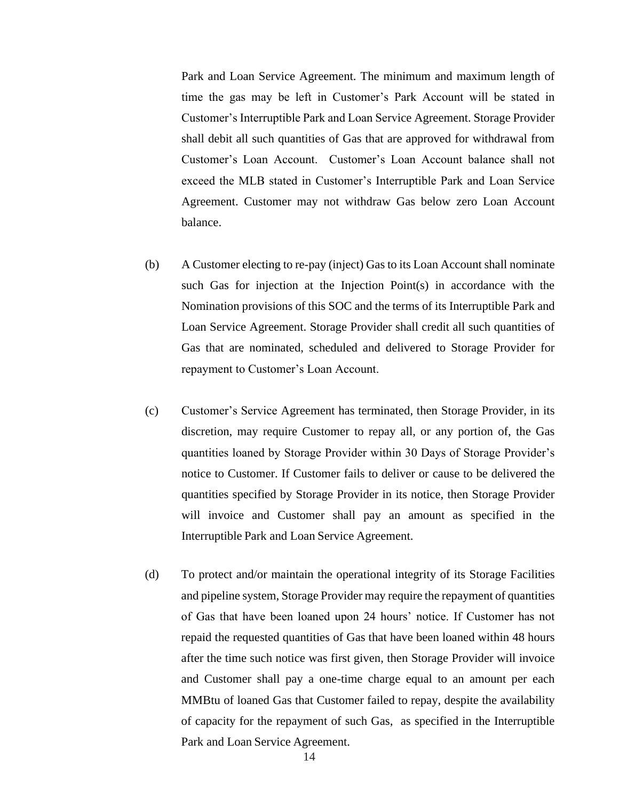Park and Loan Service Agreement. The minimum and maximum length of time the gas may be left in Customer's Park Account will be stated in Customer's Interruptible Park and Loan Service Agreement. Storage Provider shall debit all such quantities of Gas that are approved for withdrawal from Customer's Loan Account. Customer's Loan Account balance shall not exceed the MLB stated in Customer's Interruptible Park and Loan Service Agreement. Customer may not withdraw Gas below zero Loan Account balance.

- (b) A Customer electing to re-pay (inject) Gas to its Loan Account shall nominate such Gas for injection at the Injection Point(s) in accordance with the Nomination provisions of this SOC and the terms of its Interruptible Park and Loan Service Agreement. Storage Provider shall credit all such quantities of Gas that are nominated, scheduled and delivered to Storage Provider for repayment to Customer's Loan Account.
- (c) Customer's Service Agreement has terminated, then Storage Provider, in its discretion, may require Customer to repay all, or any portion of, the Gas quantities loaned by Storage Provider within 30 Days of Storage Provider's notice to Customer. If Customer fails to deliver or cause to be delivered the quantities specified by Storage Provider in its notice, then Storage Provider will invoice and Customer shall pay an amount as specified in the Interruptible Park and Loan Service Agreement.
- (d) To protect and/or maintain the operational integrity of its Storage Facilities and pipeline system, Storage Provider may require the repayment of quantities of Gas that have been loaned upon 24 hours' notice. If Customer has not repaid the requested quantities of Gas that have been loaned within 48 hours after the time such notice was first given, then Storage Provider will invoice and Customer shall pay a one-time charge equal to an amount per each MMBtu of loaned Gas that Customer failed to repay, despite the availability of capacity for the repayment of such Gas, as specified in the Interruptible Park and Loan Service Agreement.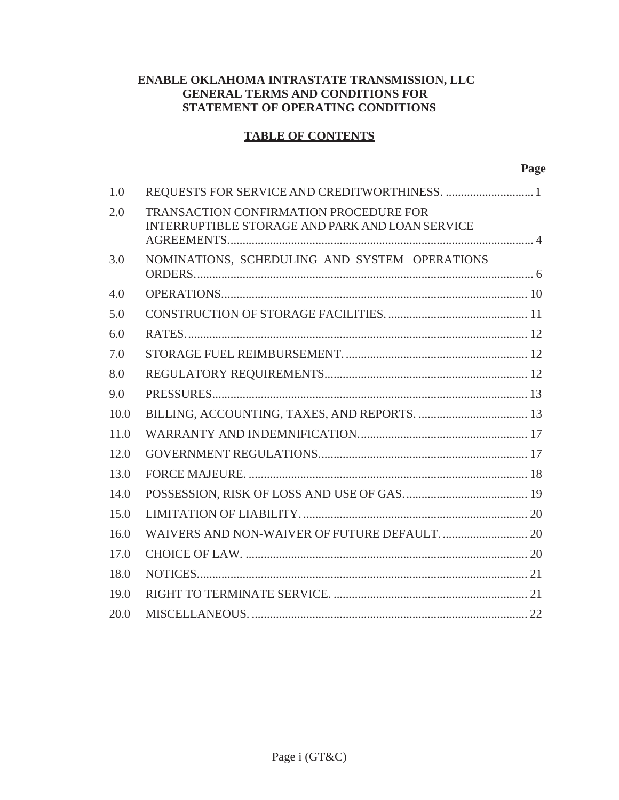# **ENABLE OKLAHOMA INTRASTATE TRANSMISSION, LLC GENERAL TERMS AND CONDITIONS FOR STATEMENT OF OPERATING CONDITIONS**

# **TABLE OF CONTENTS**

| 1.0  |                                                                                                  |  |
|------|--------------------------------------------------------------------------------------------------|--|
| 2.0  | <b>TRANSACTION CONFIRMATION PROCEDURE FOR</b><br>INTERRUPTIBLE STORAGE AND PARK AND LOAN SERVICE |  |
| 3.0  | NOMINATIONS, SCHEDULING AND SYSTEM OPERATIONS                                                    |  |
| 4.0  |                                                                                                  |  |
| 5.0  |                                                                                                  |  |
| 6.0  |                                                                                                  |  |
| 7.0  |                                                                                                  |  |
| 8.0  |                                                                                                  |  |
| 9.0  |                                                                                                  |  |
| 10.0 |                                                                                                  |  |
| 11.0 |                                                                                                  |  |
| 12.0 |                                                                                                  |  |
| 13.0 |                                                                                                  |  |
| 14.0 |                                                                                                  |  |
| 15.0 |                                                                                                  |  |
| 16.0 |                                                                                                  |  |
| 17.0 |                                                                                                  |  |
| 18.0 |                                                                                                  |  |
| 19.0 |                                                                                                  |  |
| 20.0 |                                                                                                  |  |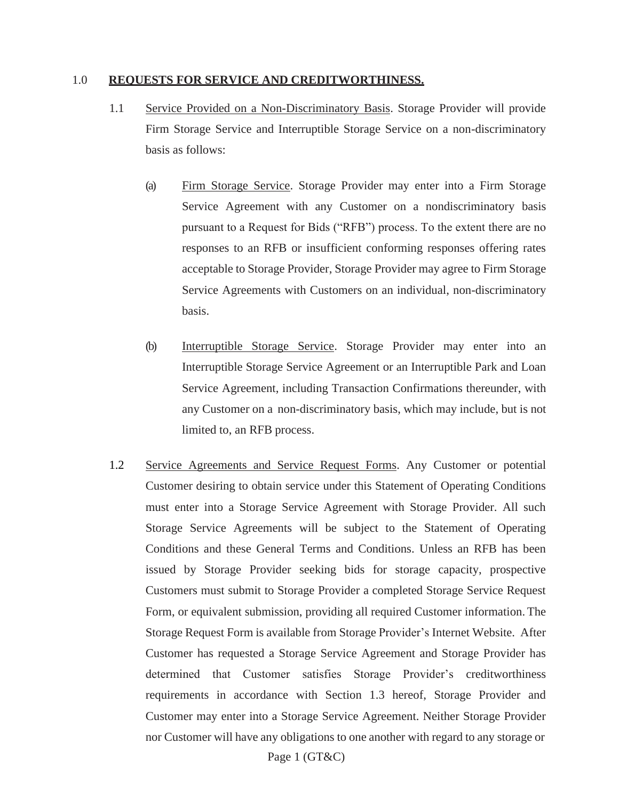#### <span id="page-16-0"></span>1.0 **REQUESTS FOR SERVICE AND CREDITWORTHINESS.**

- 1.1 Service Provided on a Non-Discriminatory Basis. Storage Provider will provide Firm Storage Service and Interruptible Storage Service on a non-discriminatory basis as follows:
	- (a) Firm Storage Service. Storage Provider may enter into a Firm Storage Service Agreement with any Customer on a nondiscriminatory basis pursuant to a Request for Bids ("RFB") process. To the extent there are no responses to an RFB or insufficient conforming responses offering rates acceptable to Storage Provider, Storage Provider may agree to Firm Storage Service Agreements with Customers on an individual, non-discriminatory basis.
	- (b) Interruptible Storage Service. Storage Provider may enter into an Interruptible Storage Service Agreement or an Interruptible Park and Loan Service Agreement, including Transaction Confirmations thereunder, with any Customer on a non-discriminatory basis, which may include, but is not limited to, an RFB process.
- 1.2 Service Agreements and Service Request Forms. Any Customer or potential Customer desiring to obtain service under this Statement of Operating Conditions must enter into a Storage Service Agreement with Storage Provider. All such Storage Service Agreements will be subject to the Statement of Operating Conditions and these General Terms and Conditions. Unless an RFB has been issued by Storage Provider seeking bids for storage capacity, prospective Customers must submit to Storage Provider a completed Storage Service Request Form, or equivalent submission, providing all required Customer information. The Storage Request Form is available from Storage Provider's Internet Website. After Customer has requested a Storage Service Agreement and Storage Provider has determined that Customer satisfies Storage Provider's creditworthiness requirements in accordance with Section 1.3 hereof, Storage Provider and Customer may enter into a Storage Service Agreement. Neither Storage Provider nor Customer will have any obligations to one another with regard to any storage or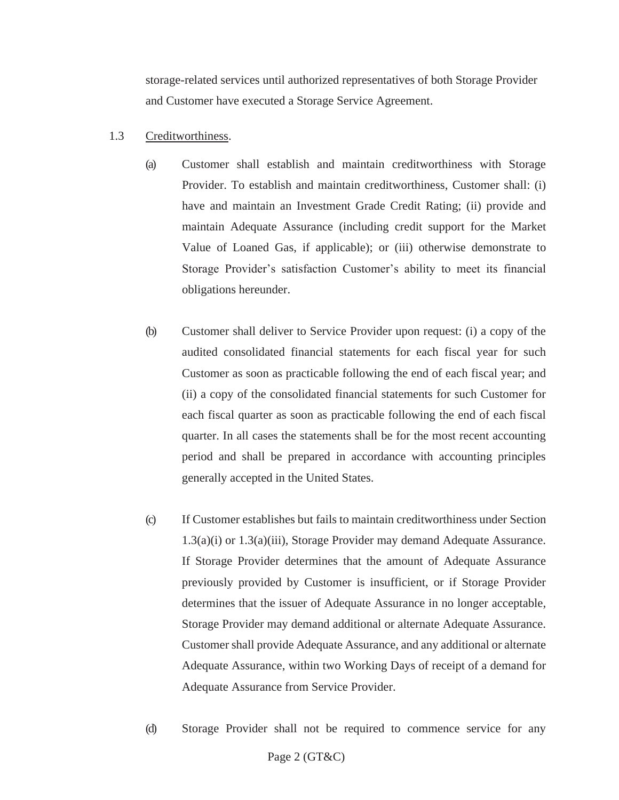storage-related services until authorized representatives of both Storage Provider and Customer have executed a Storage Service Agreement.

# 1.3 Creditworthiness.

- (a) Customer shall establish and maintain creditworthiness with Storage Provider. To establish and maintain creditworthiness, Customer shall: (i) have and maintain an Investment Grade Credit Rating; (ii) provide and maintain Adequate Assurance (including credit support for the Market Value of Loaned Gas, if applicable); or (iii) otherwise demonstrate to Storage Provider's satisfaction Customer's ability to meet its financial obligations hereunder.
- (b) Customer shall deliver to Service Provider upon request: (i) a copy of the audited consolidated financial statements for each fiscal year for such Customer as soon as practicable following the end of each fiscal year; and (ii) a copy of the consolidated financial statements for such Customer for each fiscal quarter as soon as practicable following the end of each fiscal quarter. In all cases the statements shall be for the most recent accounting period and shall be prepared in accordance with accounting principles generally accepted in the United States.
- (c) If Customer establishes but fails to maintain creditworthiness under Section 1.3(a)(i) or 1.3(a)(iii), Storage Provider may demand Adequate Assurance. If Storage Provider determines that the amount of Adequate Assurance previously provided by Customer is insufficient, or if Storage Provider determines that the issuer of Adequate Assurance in no longer acceptable, Storage Provider may demand additional or alternate Adequate Assurance. Customer shall provide Adequate Assurance, and any additional or alternate Adequate Assurance, within two Working Days of receipt of a demand for Adequate Assurance from Service Provider.
- Page 2 (GT&C) (d) Storage Provider shall not be required to commence service for any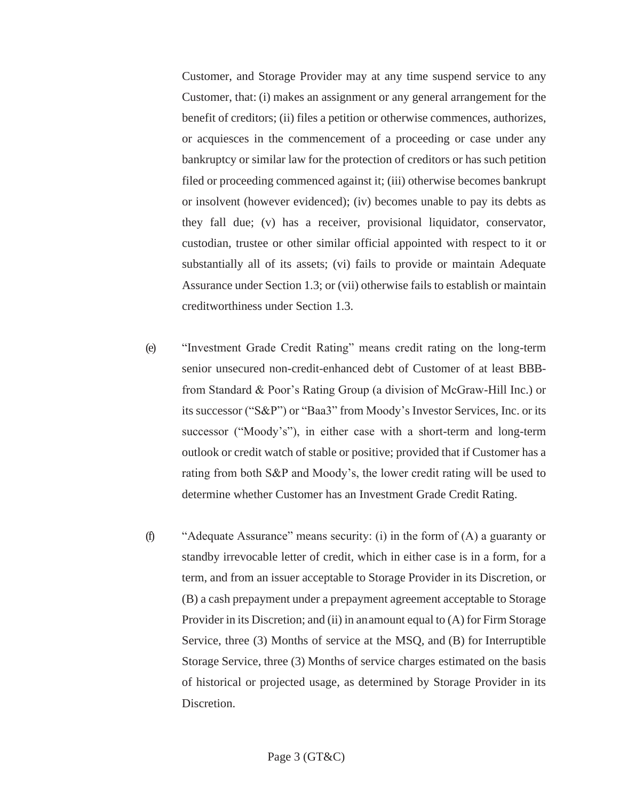Customer, and Storage Provider may at any time suspend service to any Customer, that: (i) makes an assignment or any general arrangement for the benefit of creditors; (ii) files a petition or otherwise commences, authorizes, or acquiesces in the commencement of a proceeding or case under any bankruptcy or similar law for the protection of creditors or has such petition filed or proceeding commenced against it; (iii) otherwise becomes bankrupt or insolvent (however evidenced); (iv) becomes unable to pay its debts as they fall due; (v) has a receiver, provisional liquidator, conservator, custodian, trustee or other similar official appointed with respect to it or substantially all of its assets; (vi) fails to provide or maintain Adequate Assurance under Section 1.3; or (vii) otherwise fails to establish or maintain creditworthiness under Section 1.3.

- (e) "Investment Grade Credit Rating" means credit rating on the long-term senior unsecured non-credit-enhanced debt of Customer of at least BBBfrom Standard & Poor's Rating Group (a division of McGraw-Hill Inc.) or its successor ("S&P") or "Baa3" from Moody's Investor Services, Inc. or its successor ("Moody's"), in either case with a short-term and long-term outlook or credit watch of stable or positive; provided that if Customer has a rating from both S&P and Moody's, the lower credit rating will be used to determine whether Customer has an Investment Grade Credit Rating.
- (f) "Adequate Assurance" means security: (i) in the form of (A) a guaranty or standby irrevocable letter of credit, which in either case is in a form, for a term, and from an issuer acceptable to Storage Provider in its Discretion, or (B) a cash prepayment under a prepayment agreement acceptable to Storage Provider in its Discretion; and (ii) in anamount equal to (A) for Firm Storage Service, three (3) Months of service at the MSQ, and (B) for Interruptible Storage Service, three (3) Months of service charges estimated on the basis of historical or projected usage, as determined by Storage Provider in its Discretion.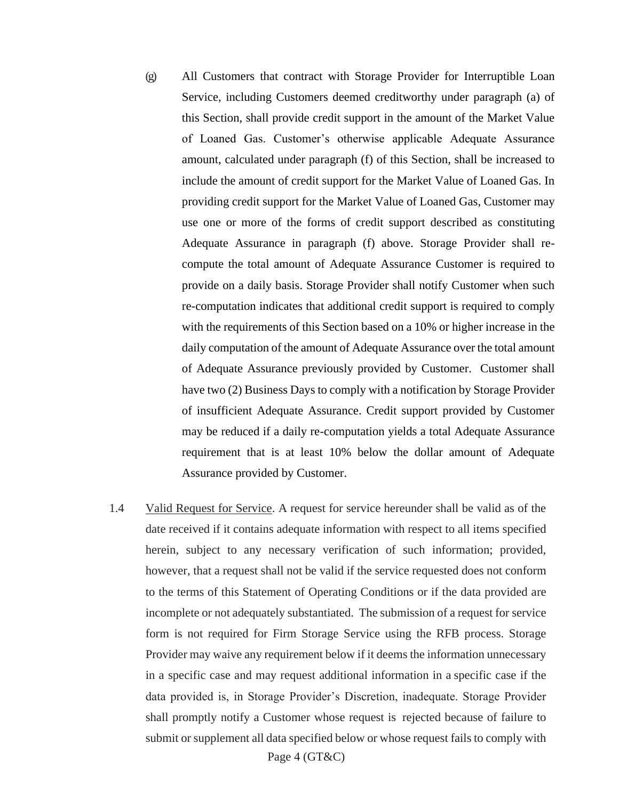- (g) All Customers that contract with Storage Provider for Interruptible Loan Service, including Customers deemed creditworthy under paragraph (a) of this Section, shall provide credit support in the amount of the Market Value of Loaned Gas. Customer's otherwise applicable Adequate Assurance amount, calculated under paragraph (f) of this Section, shall be increased to include the amount of credit support for the Market Value of Loaned Gas. In providing credit support for the Market Value of Loaned Gas, Customer may use one or more of the forms of credit support described as constituting Adequate Assurance in paragraph (f) above. Storage Provider shall recompute the total amount of Adequate Assurance Customer is required to provide on a daily basis. Storage Provider shall notify Customer when such re-computation indicates that additional credit support is required to comply with the requirements of this Section based on a 10% or higher increase in the daily computation of the amount of Adequate Assurance over the total amount of Adequate Assurance previously provided by Customer. Customer shall have two (2) Business Days to comply with a notification by Storage Provider of insufficient Adequate Assurance. Credit support provided by Customer may be reduced if a daily re-computation yields a total Adequate Assurance requirement that is at least 10% below the dollar amount of Adequate Assurance provided by Customer.
- Page 4 (GT&C) 1.4 Valid Request for Service. A request for service hereunder shall be valid as of the date received if it contains adequate information with respect to all items specified herein, subject to any necessary verification of such information; provided, however, that a request shall not be valid if the service requested does not conform to the terms of this Statement of Operating Conditions or if the data provided are incomplete or not adequately substantiated. The submission of a request for service form is not required for Firm Storage Service using the RFB process. Storage Provider may waive any requirement below if it deems the information unnecessary in a specific case and may request additional information in a specific case if the data provided is, in Storage Provider's Discretion, inadequate. Storage Provider shall promptly notify a Customer whose request is rejected because of failure to submit or supplement all data specified below or whose request fails to comply with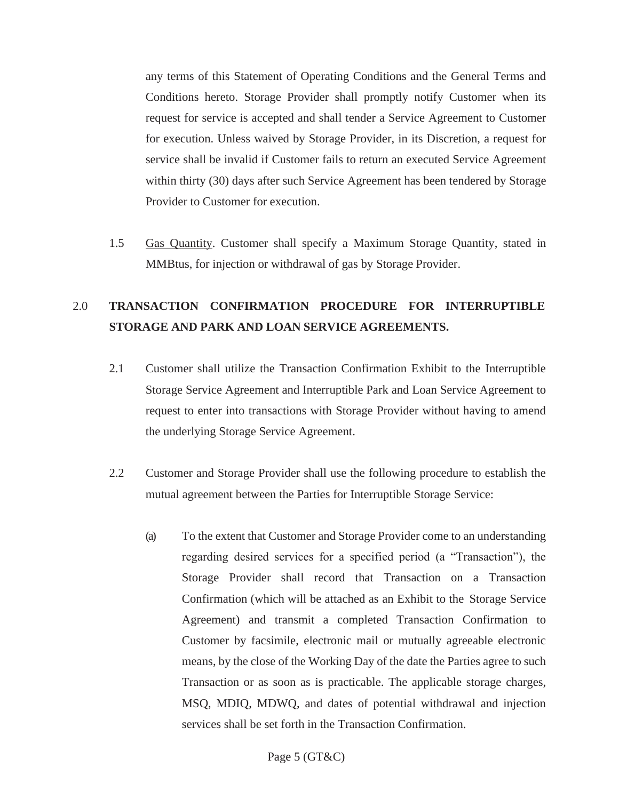any terms of this Statement of Operating Conditions and the General Terms and Conditions hereto. Storage Provider shall promptly notify Customer when its request for service is accepted and shall tender a Service Agreement to Customer for execution. Unless waived by Storage Provider, in its Discretion, a request for service shall be invalid if Customer fails to return an executed Service Agreement within thirty (30) days after such Service Agreement has been tendered by Storage Provider to Customer for execution.

1.5 Gas Quantity. Customer shall specify a Maximum Storage Quantity, stated in MMBtus, for injection or withdrawal of gas by Storage Provider.

# 2.0 **TRANSACTION CONFIRMATION PROCEDURE FOR INTERRUPTIBLE STORAGE AND PARK AND LOAN SERVICE AGREEMENTS.**

- 2.1 Customer shall utilize the Transaction Confirmation Exhibit to the Interruptible Storage Service Agreement and Interruptible Park and Loan Service Agreement to request to enter into transactions with Storage Provider without having to amend the underlying Storage Service Agreement.
- 2.2 Customer and Storage Provider shall use the following procedure to establish the mutual agreement between the Parties for Interruptible Storage Service:
	- (a) To the extent that Customer and Storage Provider come to an understanding regarding desired services for a specified period (a "Transaction"), the Storage Provider shall record that Transaction on a Transaction Confirmation (which will be attached as an Exhibit to the Storage Service Agreement) and transmit a completed Transaction Confirmation to Customer by facsimile, electronic mail or mutually agreeable electronic means, by the close of the Working Day of the date the Parties agree to such Transaction or as soon as is practicable. The applicable storage charges, MSQ, MDIQ, MDWQ, and dates of potential withdrawal and injection services shall be set forth in the Transaction Confirmation.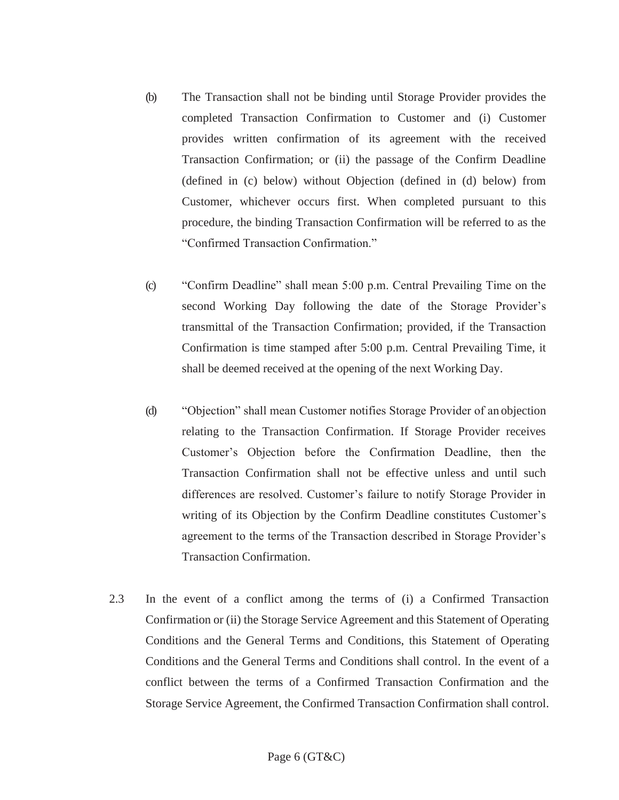- (b) The Transaction shall not be binding until Storage Provider provides the completed Transaction Confirmation to Customer and (i) Customer provides written confirmation of its agreement with the received Transaction Confirmation; or (ii) the passage of the Confirm Deadline (defined in (c) below) without Objection (defined in (d) below) from Customer, whichever occurs first. When completed pursuant to this procedure, the binding Transaction Confirmation will be referred to as the "Confirmed Transaction Confirmation."
- (c) "Confirm Deadline" shall mean 5:00 p.m. Central Prevailing Time on the second Working Day following the date of the Storage Provider's transmittal of the Transaction Confirmation; provided, if the Transaction Confirmation is time stamped after 5:00 p.m. Central Prevailing Time, it shall be deemed received at the opening of the next Working Day.
- (d) "Objection" shall mean Customer notifies Storage Provider of an objection relating to the Transaction Confirmation. If Storage Provider receives Customer's Objection before the Confirmation Deadline, then the Transaction Confirmation shall not be effective unless and until such differences are resolved. Customer's failure to notify Storage Provider in writing of its Objection by the Confirm Deadline constitutes Customer's agreement to the terms of the Transaction described in Storage Provider's Transaction Confirmation.
- 2.3 In the event of a conflict among the terms of (i) a Confirmed Transaction Confirmation or (ii) the Storage Service Agreement and this Statement of Operating Conditions and the General Terms and Conditions, this Statement of Operating Conditions and the General Terms and Conditions shall control. In the event of a conflict between the terms of a Confirmed Transaction Confirmation and the Storage Service Agreement, the Confirmed Transaction Confirmation shall control.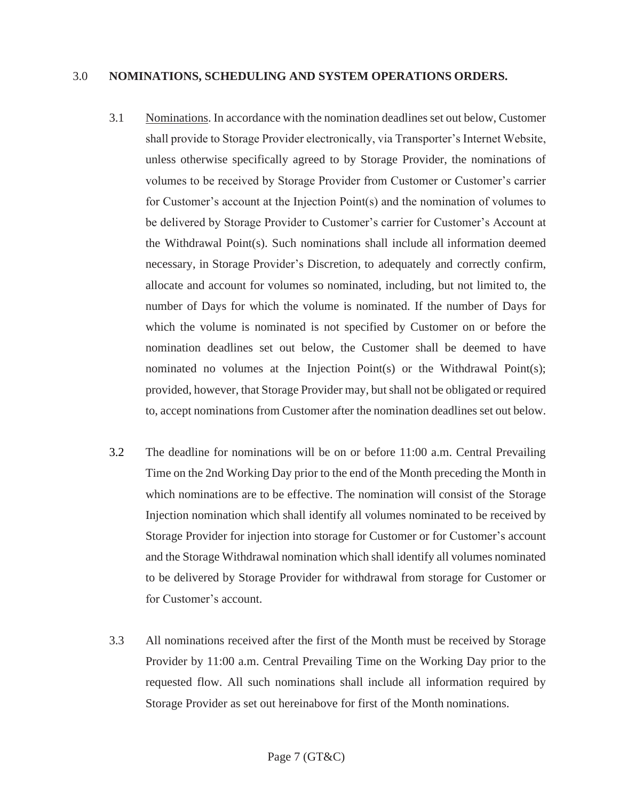#### <span id="page-22-0"></span>3.0 **NOMINATIONS, SCHEDULING AND SYSTEM OPERATIONS ORDERS.**

- 3.1 Nominations. In accordance with the nomination deadlines set out below, Customer shall provide to Storage Provider electronically, via Transporter's Internet Website, unless otherwise specifically agreed to by Storage Provider, the nominations of volumes to be received by Storage Provider from Customer or Customer's carrier for Customer's account at the Injection Point(s) and the nomination of volumes to be delivered by Storage Provider to Customer's carrier for Customer's Account at the Withdrawal Point(s). Such nominations shall include all information deemed necessary, in Storage Provider's Discretion, to adequately and correctly confirm, allocate and account for volumes so nominated, including, but not limited to, the number of Days for which the volume is nominated. If the number of Days for which the volume is nominated is not specified by Customer on or before the nomination deadlines set out below, the Customer shall be deemed to have nominated no volumes at the Injection Point(s) or the Withdrawal Point(s); provided, however, that Storage Provider may, but shall not be obligated or required to, accept nominations from Customer after the nomination deadlines set out below.
- 3.2 The deadline for nominations will be on or before 11:00 a.m. Central Prevailing Time on the 2nd Working Day prior to the end of the Month preceding the Month in which nominations are to be effective. The nomination will consist of the Storage Injection nomination which shall identify all volumes nominated to be received by Storage Provider for injection into storage for Customer or for Customer's account and the Storage Withdrawal nomination which shall identify all volumes nominated to be delivered by Storage Provider for withdrawal from storage for Customer or for Customer's account.
- 3.3 All nominations received after the first of the Month must be received by Storage Provider by 11:00 a.m. Central Prevailing Time on the Working Day prior to the requested flow. All such nominations shall include all information required by Storage Provider as set out hereinabove for first of the Month nominations.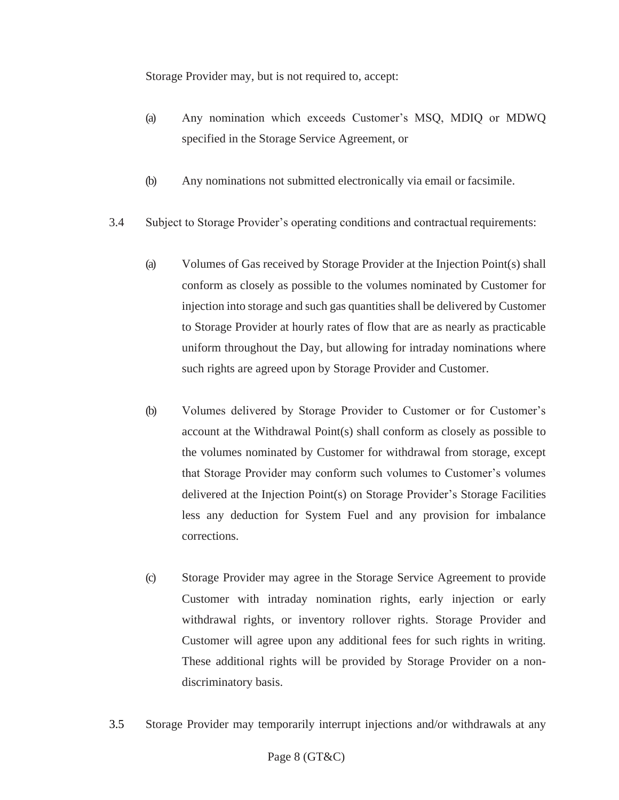Storage Provider may, but is not required to, accept:

- (a) Any nomination which exceeds Customer's MSQ, MDIQ or MDWQ specified in the Storage Service Agreement, or
- (b) Any nominations not submitted electronically via email or facsimile.
- 3.4 Subject to Storage Provider's operating conditions and contractual requirements:
	- (a) Volumes of Gas received by Storage Provider at the Injection Point(s) shall conform as closely as possible to the volumes nominated by Customer for injection into storage and such gas quantities shall be delivered by Customer to Storage Provider at hourly rates of flow that are as nearly as practicable uniform throughout the Day, but allowing for intraday nominations where such rights are agreed upon by Storage Provider and Customer.
	- (b) Volumes delivered by Storage Provider to Customer or for Customer's account at the Withdrawal Point(s) shall conform as closely as possible to the volumes nominated by Customer for withdrawal from storage, except that Storage Provider may conform such volumes to Customer's volumes delivered at the Injection Point(s) on Storage Provider's Storage Facilities less any deduction for System Fuel and any provision for imbalance corrections.
	- (c) Storage Provider may agree in the Storage Service Agreement to provide Customer with intraday nomination rights, early injection or early withdrawal rights, or inventory rollover rights. Storage Provider and Customer will agree upon any additional fees for such rights in writing. These additional rights will be provided by Storage Provider on a nondiscriminatory basis.
- 3.5 Storage Provider may temporarily interrupt injections and/or withdrawals at any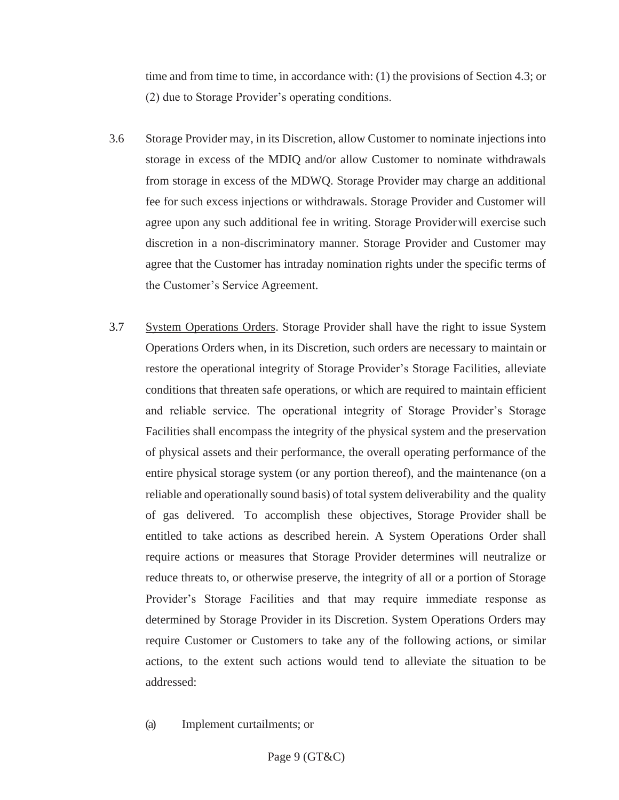time and from time to time, in accordance with: (1) the provisions of Section 4.3; or (2) due to Storage Provider's operating conditions.

- 3.6 Storage Provider may, in its Discretion, allow Customer to nominate injections into storage in excess of the MDIQ and/or allow Customer to nominate withdrawals from storage in excess of the MDWQ. Storage Provider may charge an additional fee for such excess injections or withdrawals. Storage Provider and Customer will agree upon any such additional fee in writing. Storage Providerwill exercise such discretion in a non-discriminatory manner. Storage Provider and Customer may agree that the Customer has intraday nomination rights under the specific terms of the Customer's Service Agreement.
- 3.7 System Operations Orders. Storage Provider shall have the right to issue System Operations Orders when, in its Discretion, such orders are necessary to maintain or restore the operational integrity of Storage Provider's Storage Facilities, alleviate conditions that threaten safe operations, or which are required to maintain efficient and reliable service. The operational integrity of Storage Provider's Storage Facilities shall encompass the integrity of the physical system and the preservation of physical assets and their performance, the overall operating performance of the entire physical storage system (or any portion thereof), and the maintenance (on a reliable and operationally sound basis) of total system deliverability and the quality of gas delivered. To accomplish these objectives, Storage Provider shall be entitled to take actions as described herein. A System Operations Order shall require actions or measures that Storage Provider determines will neutralize or reduce threats to, or otherwise preserve, the integrity of all or a portion of Storage Provider's Storage Facilities and that may require immediate response as determined by Storage Provider in its Discretion. System Operations Orders may require Customer or Customers to take any of the following actions, or similar actions, to the extent such actions would tend to alleviate the situation to be addressed:
	- (a) Implement curtailments; or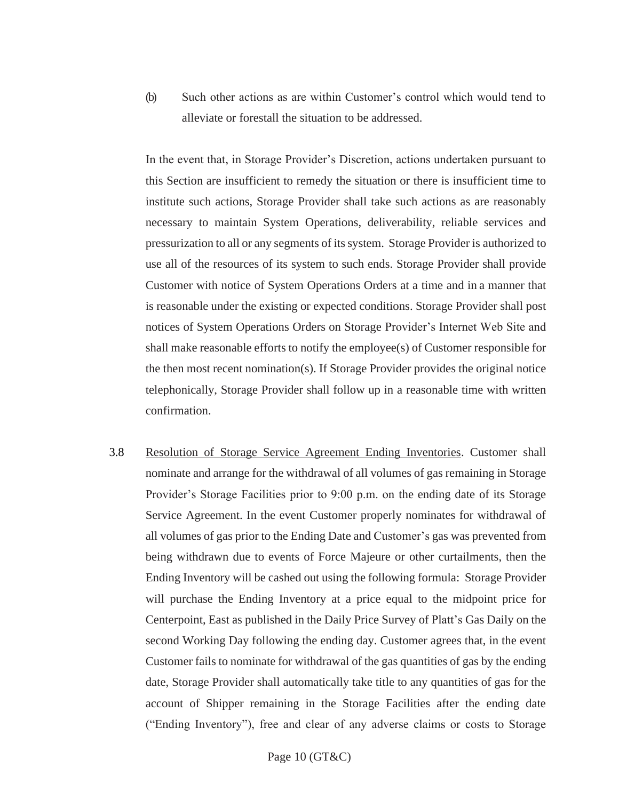(b) Such other actions as are within Customer's control which would tend to alleviate or forestall the situation to be addressed.

In the event that, in Storage Provider's Discretion, actions undertaken pursuant to this Section are insufficient to remedy the situation or there is insufficient time to institute such actions, Storage Provider shall take such actions as are reasonably necessary to maintain System Operations, deliverability, reliable services and pressurization to all or any segments of its system. Storage Provider is authorized to use all of the resources of its system to such ends. Storage Provider shall provide Customer with notice of System Operations Orders at a time and in a manner that is reasonable under the existing or expected conditions. Storage Provider shall post notices of System Operations Orders on Storage Provider's Internet Web Site and shall make reasonable efforts to notify the employee(s) of Customer responsible for the then most recent nomination(s). If Storage Provider provides the original notice telephonically, Storage Provider shall follow up in a reasonable time with written confirmation.

3.8 Resolution of Storage Service Agreement Ending Inventories. Customer shall nominate and arrange for the withdrawal of all volumes of gas remaining in Storage Provider's Storage Facilities prior to 9:00 p.m. on the ending date of its Storage Service Agreement. In the event Customer properly nominates for withdrawal of all volumes of gas prior to the Ending Date and Customer's gas was prevented from being withdrawn due to events of Force Majeure or other curtailments, then the Ending Inventory will be cashed out using the following formula: Storage Provider will purchase the Ending Inventory at a price equal to the midpoint price for Centerpoint, East as published in the Daily Price Survey of Platt's Gas Daily on the second Working Day following the ending day. Customer agrees that, in the event Customer fails to nominate for withdrawal of the gas quantities of gas by the ending date, Storage Provider shall automatically take title to any quantities of gas for the account of Shipper remaining in the Storage Facilities after the ending date ("Ending Inventory"), free and clear of any adverse claims or costs to Storage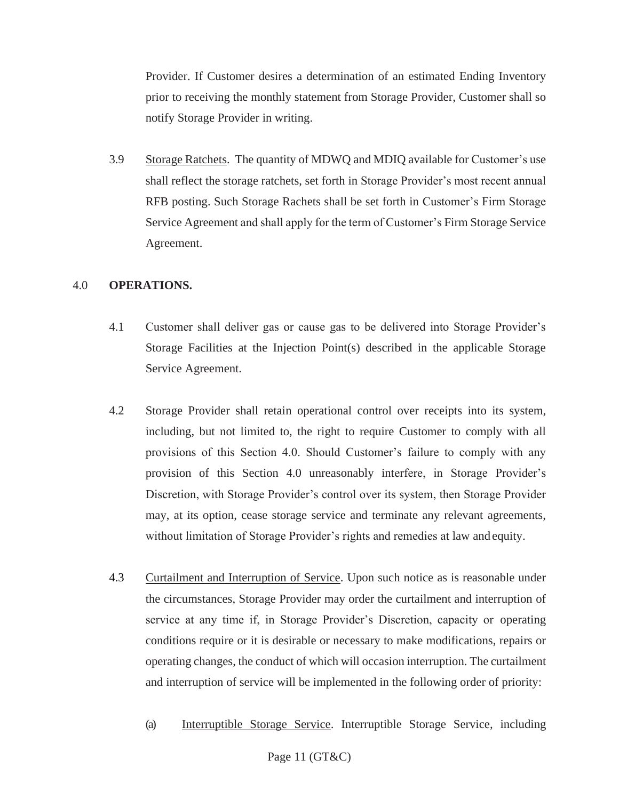Provider. If Customer desires a determination of an estimated Ending Inventory prior to receiving the monthly statement from Storage Provider, Customer shall so notify Storage Provider in writing.

3.9 Storage Ratchets. The quantity of MDWQ and MDIQ available for Customer's use shall reflect the storage ratchets, set forth in Storage Provider's most recent annual RFB posting. Such Storage Rachets shall be set forth in Customer's Firm Storage Service Agreement and shall apply for the term of Customer's Firm Storage Service Agreement.

# <span id="page-26-0"></span>4.0 **OPERATIONS.**

- 4.1 Customer shall deliver gas or cause gas to be delivered into Storage Provider's Storage Facilities at the Injection Point(s) described in the applicable Storage Service Agreement.
- 4.2 Storage Provider shall retain operational control over receipts into its system, including, but not limited to, the right to require Customer to comply with all provisions of this Section 4.0. Should Customer's failure to comply with any provision of this Section 4.0 unreasonably interfere, in Storage Provider's Discretion, with Storage Provider's control over its system, then Storage Provider may, at its option, cease storage service and terminate any relevant agreements, without limitation of Storage Provider's rights and remedies at law and equity.
- 4.3 Curtailment and Interruption of Service. Upon such notice as is reasonable under the circumstances, Storage Provider may order the curtailment and interruption of service at any time if, in Storage Provider's Discretion, capacity or operating conditions require or it is desirable or necessary to make modifications, repairs or operating changes, the conduct of which will occasion interruption. The curtailment and interruption of service will be implemented in the following order of priority:
	- (a) Interruptible Storage Service. Interruptible Storage Service, including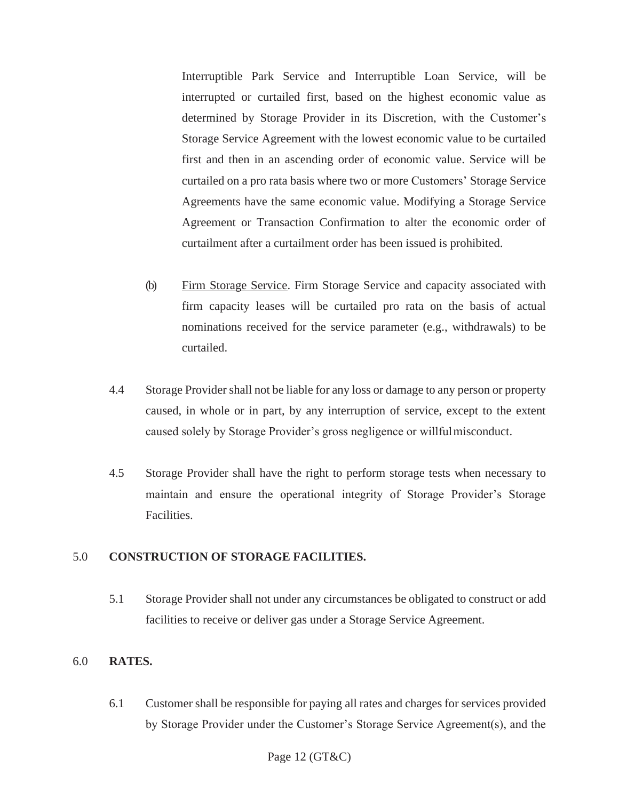Interruptible Park Service and Interruptible Loan Service, will be interrupted or curtailed first, based on the highest economic value as determined by Storage Provider in its Discretion, with the Customer's Storage Service Agreement with the lowest economic value to be curtailed first and then in an ascending order of economic value. Service will be curtailed on a pro rata basis where two or more Customers' Storage Service Agreements have the same economic value. Modifying a Storage Service Agreement or Transaction Confirmation to alter the economic order of curtailment after a curtailment order has been issued is prohibited.

- (b) Firm Storage Service. Firm Storage Service and capacity associated with firm capacity leases will be curtailed pro rata on the basis of actual nominations received for the service parameter (e.g., withdrawals) to be curtailed.
- 4.4 Storage Provider shall not be liable for any loss or damage to any person or property caused, in whole or in part, by any interruption of service, except to the extent caused solely by Storage Provider's gross negligence or willfulmisconduct.
- 4.5 Storage Provider shall have the right to perform storage tests when necessary to maintain and ensure the operational integrity of Storage Provider's Storage Facilities.

# <span id="page-27-0"></span>5.0 **CONSTRUCTION OF STORAGE FACILITIES.**

5.1 Storage Provider shall not under any circumstances be obligated to construct or add facilities to receive or deliver gas under a Storage Service Agreement.

# <span id="page-27-1"></span>6.0 **RATES.**

6.1 Customer shall be responsible for paying all rates and charges for services provided by Storage Provider under the Customer's Storage Service Agreement(s), and the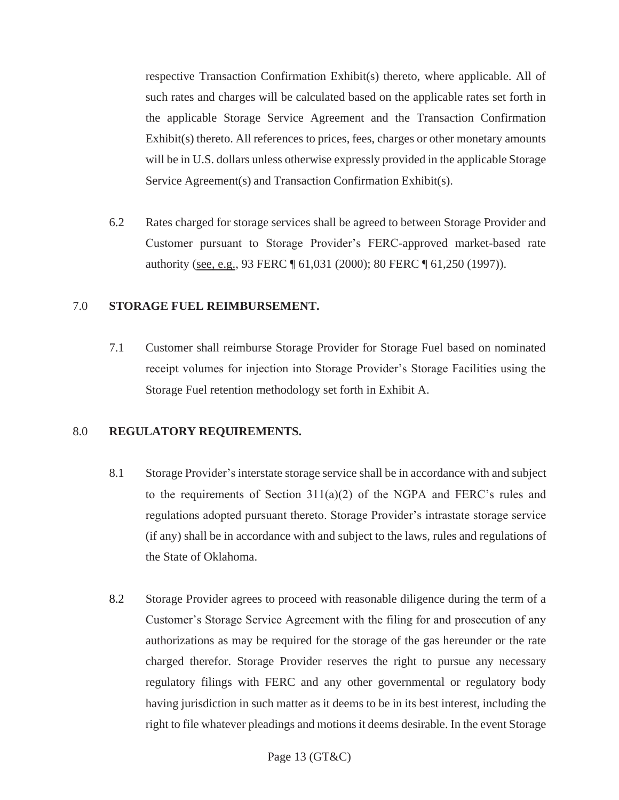respective Transaction Confirmation Exhibit(s) thereto, where applicable. All of such rates and charges will be calculated based on the applicable rates set forth in the applicable Storage Service Agreement and the Transaction Confirmation Exhibit(s) thereto. All references to prices, fees, charges or other monetary amounts will be in U.S. dollars unless otherwise expressly provided in the applicable Storage Service Agreement(s) and Transaction Confirmation Exhibit(s).

6.2 Rates charged for storage services shall be agreed to between Storage Provider and Customer pursuant to Storage Provider's FERC-approved market-based rate authority (see, e.g., 93 FERC ¶ 61,031 (2000); 80 FERC ¶ 61,250 (1997)).

# <span id="page-28-0"></span>7.0 **STORAGE FUEL REIMBURSEMENT.**

7.1 Customer shall reimburse Storage Provider for Storage Fuel based on nominated receipt volumes for injection into Storage Provider's Storage Facilities using the Storage Fuel retention methodology set forth in Exhibit A.

#### <span id="page-28-1"></span>8.0 **REGULATORY REQUIREMENTS.**

- 8.1 Storage Provider's interstate storage service shall be in accordance with and subject to the requirements of Section 311(a)(2) of the NGPA and FERC's rules and regulations adopted pursuant thereto. Storage Provider's intrastate storage service (if any) shall be in accordance with and subject to the laws, rules and regulations of the State of Oklahoma.
- 8.2 Storage Provider agrees to proceed with reasonable diligence during the term of a Customer's Storage Service Agreement with the filing for and prosecution of any authorizations as may be required for the storage of the gas hereunder or the rate charged therefor. Storage Provider reserves the right to pursue any necessary regulatory filings with FERC and any other governmental or regulatory body having jurisdiction in such matter as it deems to be in its best interest, including the right to file whatever pleadings and motions it deems desirable. In the event Storage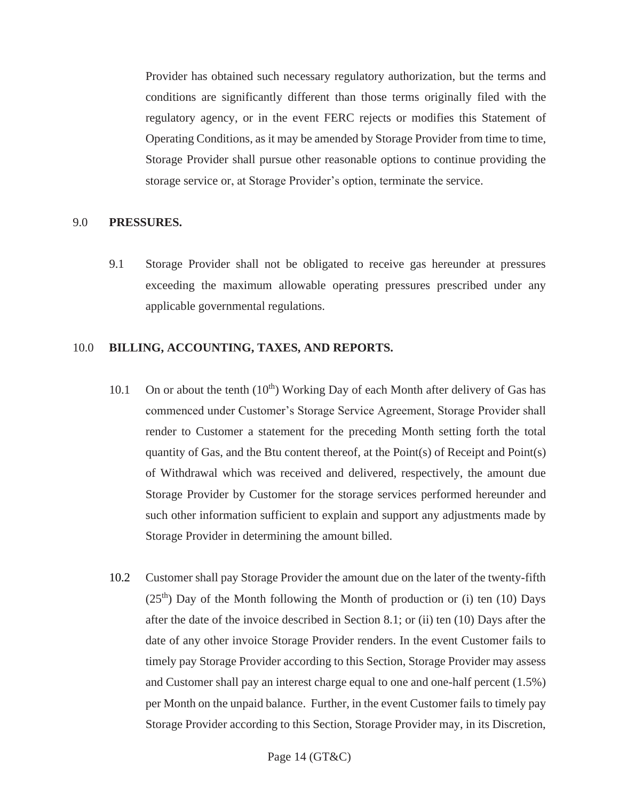Provider has obtained such necessary regulatory authorization, but the terms and conditions are significantly different than those terms originally filed with the regulatory agency, or in the event FERC rejects or modifies this Statement of Operating Conditions, as it may be amended by Storage Provider from time to time, Storage Provider shall pursue other reasonable options to continue providing the storage service or, at Storage Provider's option, terminate the service.

# <span id="page-29-0"></span>9.0 **PRESSURES.**

9.1 Storage Provider shall not be obligated to receive gas hereunder at pressures exceeding the maximum allowable operating pressures prescribed under any applicable governmental regulations.

#### <span id="page-29-1"></span>10.0 **BILLING, ACCOUNTING, TAXES, AND REPORTS.**

- 10.1 On or about the tenth  $(10<sup>th</sup>)$  Working Day of each Month after delivery of Gas has commenced under Customer's Storage Service Agreement, Storage Provider shall render to Customer a statement for the preceding Month setting forth the total quantity of Gas, and the Btu content thereof, at the Point(s) of Receipt and Point(s) of Withdrawal which was received and delivered, respectively, the amount due Storage Provider by Customer for the storage services performed hereunder and such other information sufficient to explain and support any adjustments made by Storage Provider in determining the amount billed.
- 10.2 Customer shall pay Storage Provider the amount due on the later of the twenty-fifth  $(25<sup>th</sup>)$  Day of the Month following the Month of production or (i) ten (10) Days after the date of the invoice described in Section 8.1; or (ii) ten (10) Days after the date of any other invoice Storage Provider renders. In the event Customer fails to timely pay Storage Provider according to this Section, Storage Provider may assess and Customer shall pay an interest charge equal to one and one-half percent (1.5%) per Month on the unpaid balance. Further, in the event Customer fails to timely pay Storage Provider according to this Section, Storage Provider may, in its Discretion,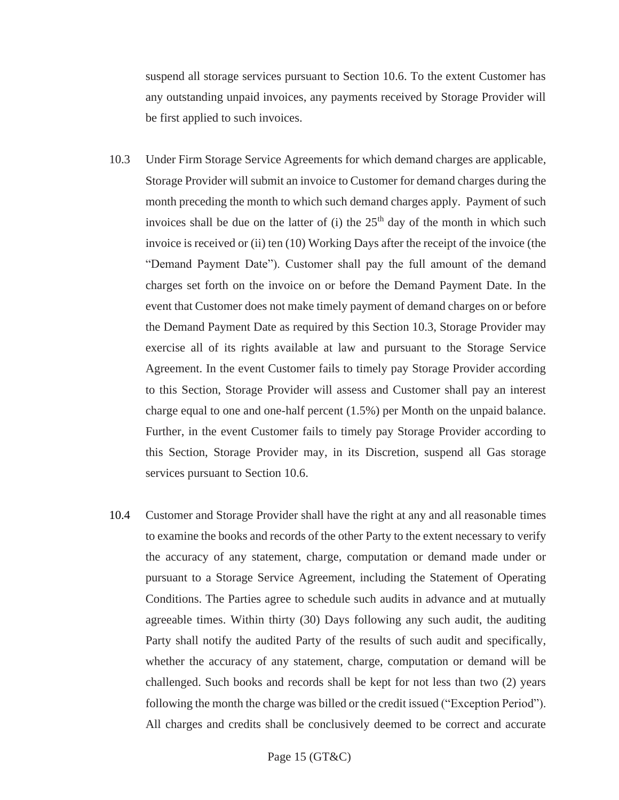suspend all storage services pursuant to Section 10.6. To the extent Customer has any outstanding unpaid invoices, any payments received by Storage Provider will be first applied to such invoices.

- 10.3 Under Firm Storage Service Agreements for which demand charges are applicable, Storage Provider will submit an invoice to Customer for demand charges during the month preceding the month to which such demand charges apply. Payment of such invoices shall be due on the latter of (i) the  $25<sup>th</sup>$  day of the month in which such invoice is received or (ii) ten (10) Working Days after the receipt of the invoice (the "Demand Payment Date"). Customer shall pay the full amount of the demand charges set forth on the invoice on or before the Demand Payment Date. In the event that Customer does not make timely payment of demand charges on or before the Demand Payment Date as required by this Section 10.3, Storage Provider may exercise all of its rights available at law and pursuant to the Storage Service Agreement. In the event Customer fails to timely pay Storage Provider according to this Section, Storage Provider will assess and Customer shall pay an interest charge equal to one and one-half percent (1.5%) per Month on the unpaid balance. Further, in the event Customer fails to timely pay Storage Provider according to this Section, Storage Provider may, in its Discretion, suspend all Gas storage services pursuant to Section 10.6.
- 10.4 Customer and Storage Provider shall have the right at any and all reasonable times to examine the books and records of the other Party to the extent necessary to verify the accuracy of any statement, charge, computation or demand made under or pursuant to a Storage Service Agreement, including the Statement of Operating Conditions. The Parties agree to schedule such audits in advance and at mutually agreeable times. Within thirty (30) Days following any such audit, the auditing Party shall notify the audited Party of the results of such audit and specifically, whether the accuracy of any statement, charge, computation or demand will be challenged. Such books and records shall be kept for not less than two (2) years following the month the charge was billed or the credit issued ("Exception Period"). All charges and credits shall be conclusively deemed to be correct and accurate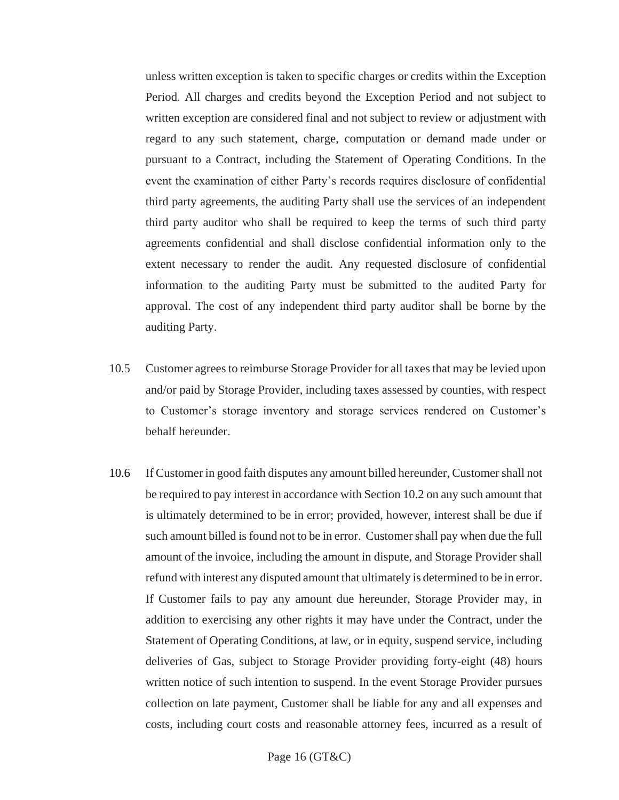unless written exception is taken to specific charges or credits within the Exception Period. All charges and credits beyond the Exception Period and not subject to written exception are considered final and not subject to review or adjustment with regard to any such statement, charge, computation or demand made under or pursuant to a Contract, including the Statement of Operating Conditions. In the event the examination of either Party's records requires disclosure of confidential third party agreements, the auditing Party shall use the services of an independent third party auditor who shall be required to keep the terms of such third party agreements confidential and shall disclose confidential information only to the extent necessary to render the audit. Any requested disclosure of confidential information to the auditing Party must be submitted to the audited Party for approval. The cost of any independent third party auditor shall be borne by the auditing Party.

- 10.5 Customer agrees to reimburse Storage Provider for all taxes that may be levied upon and/or paid by Storage Provider, including taxes assessed by counties, with respect to Customer's storage inventory and storage services rendered on Customer's behalf hereunder.
- 10.6 If Customer in good faith disputes any amount billed hereunder, Customershall not be required to pay interest in accordance with Section 10.2 on any such amount that is ultimately determined to be in error; provided, however, interest shall be due if such amount billed isfound not to be in error. Customershall pay when due the full amount of the invoice, including the amount in dispute, and Storage Provider shall refund with interest any disputed amount that ultimately is determined to be in error. If Customer fails to pay any amount due hereunder, Storage Provider may, in addition to exercising any other rights it may have under the Contract, under the Statement of Operating Conditions, at law, or in equity, suspend service, including deliveries of Gas, subject to Storage Provider providing forty-eight (48) hours written notice of such intention to suspend. In the event Storage Provider pursues collection on late payment, Customer shall be liable for any and all expenses and costs, including court costs and reasonable attorney fees, incurred as a result of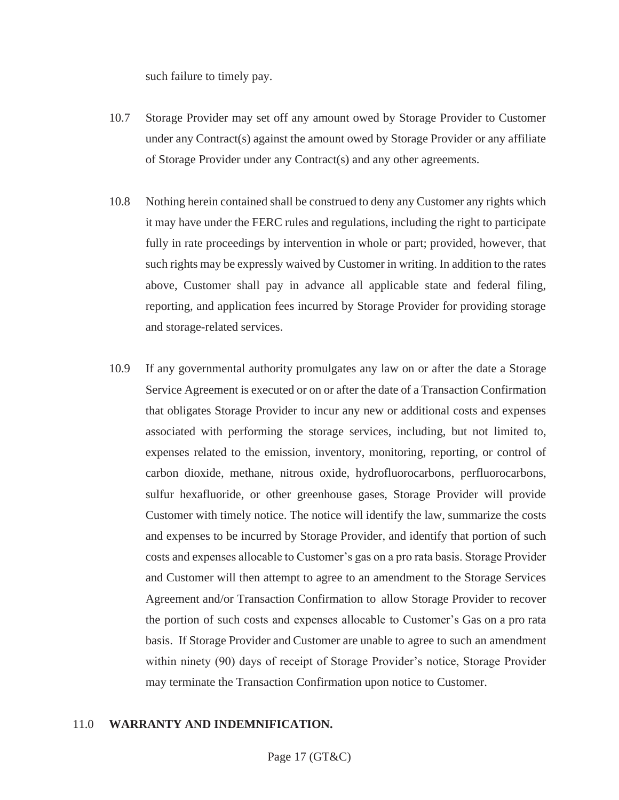such failure to timely pay.

- 10.7 Storage Provider may set off any amount owed by Storage Provider to Customer under any Contract(s) against the amount owed by Storage Provider or any affiliate of Storage Provider under any Contract(s) and any other agreements.
- 10.8 Nothing herein contained shall be construed to deny any Customer any rights which it may have under the FERC rules and regulations, including the right to participate fully in rate proceedings by intervention in whole or part; provided, however, that such rights may be expressly waived by Customer in writing. In addition to the rates above, Customer shall pay in advance all applicable state and federal filing, reporting, and application fees incurred by Storage Provider for providing storage and storage-related services.
- 10.9 If any governmental authority promulgates any law on or after the date a Storage Service Agreement is executed or on or after the date of a Transaction Confirmation that obligates Storage Provider to incur any new or additional costs and expenses associated with performing the storage services, including, but not limited to, expenses related to the emission, inventory, monitoring, reporting, or control of carbon dioxide, methane, nitrous oxide, hydrofluorocarbons, perfluorocarbons, sulfur hexafluoride, or other greenhouse gases, Storage Provider will provide Customer with timely notice. The notice will identify the law, summarize the costs and expenses to be incurred by Storage Provider, and identify that portion of such costs and expenses allocable to Customer's gas on a pro rata basis. Storage Provider and Customer will then attempt to agree to an amendment to the Storage Services Agreement and/or Transaction Confirmation to allow Storage Provider to recover the portion of such costs and expenses allocable to Customer's Gas on a pro rata basis. If Storage Provider and Customer are unable to agree to such an amendment within ninety (90) days of receipt of Storage Provider's notice, Storage Provider may terminate the Transaction Confirmation upon notice to Customer.

#### <span id="page-32-0"></span>11.0 **WARRANTY AND INDEMNIFICATION.**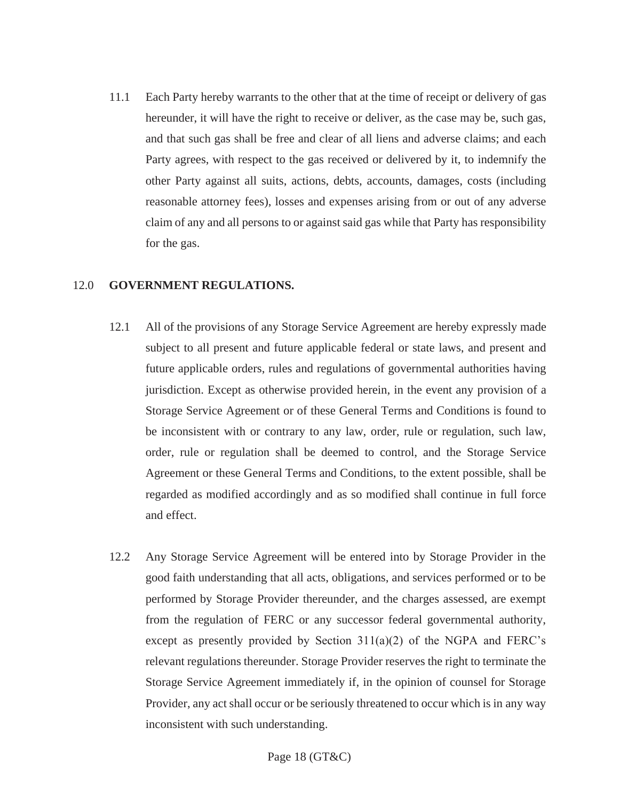11.1 Each Party hereby warrants to the other that at the time of receipt or delivery of gas hereunder, it will have the right to receive or deliver, as the case may be, such gas, and that such gas shall be free and clear of all liens and adverse claims; and each Party agrees, with respect to the gas received or delivered by it, to indemnify the other Party against all suits, actions, debts, accounts, damages, costs (including reasonable attorney fees), losses and expenses arising from or out of any adverse claim of any and all persons to or against said gas while that Party has responsibility for the gas.

#### <span id="page-33-0"></span>12.0 **GOVERNMENT REGULATIONS.**

- 12.1 All of the provisions of any Storage Service Agreement are hereby expressly made subject to all present and future applicable federal or state laws, and present and future applicable orders, rules and regulations of governmental authorities having jurisdiction. Except as otherwise provided herein, in the event any provision of a Storage Service Agreement or of these General Terms and Conditions is found to be inconsistent with or contrary to any law, order, rule or regulation, such law, order, rule or regulation shall be deemed to control, and the Storage Service Agreement or these General Terms and Conditions, to the extent possible, shall be regarded as modified accordingly and as so modified shall continue in full force and effect.
- 12.2 Any Storage Service Agreement will be entered into by Storage Provider in the good faith understanding that all acts, obligations, and services performed or to be performed by Storage Provider thereunder, and the charges assessed, are exempt from the regulation of FERC or any successor federal governmental authority, except as presently provided by Section 311(a)(2) of the NGPA and FERC's relevant regulations thereunder. Storage Provider reserves the right to terminate the Storage Service Agreement immediately if, in the opinion of counsel for Storage Provider, any act shall occur or be seriously threatened to occur which is in any way inconsistent with such understanding.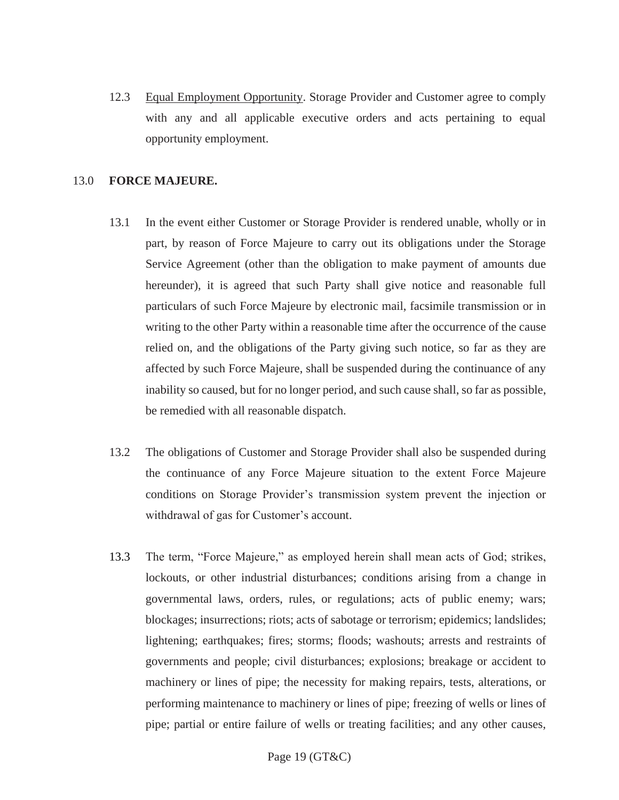12.3 Equal Employment Opportunity. Storage Provider and Customer agree to comply with any and all applicable executive orders and acts pertaining to equal opportunity employment.

# <span id="page-34-0"></span>13.0 **FORCE MAJEURE.**

- 13.1 In the event either Customer or Storage Provider is rendered unable, wholly or in part, by reason of Force Majeure to carry out its obligations under the Storage Service Agreement (other than the obligation to make payment of amounts due hereunder), it is agreed that such Party shall give notice and reasonable full particulars of such Force Majeure by electronic mail, facsimile transmission or in writing to the other Party within a reasonable time after the occurrence of the cause relied on, and the obligations of the Party giving such notice, so far as they are affected by such Force Majeure, shall be suspended during the continuance of any inability so caused, but for no longer period, and such cause shall, so far as possible, be remedied with all reasonable dispatch.
- 13.2 The obligations of Customer and Storage Provider shall also be suspended during the continuance of any Force Majeure situation to the extent Force Majeure conditions on Storage Provider's transmission system prevent the injection or withdrawal of gas for Customer's account.
- 13.3 The term, "Force Majeure," as employed herein shall mean acts of God; strikes, lockouts, or other industrial disturbances; conditions arising from a change in governmental laws, orders, rules, or regulations; acts of public enemy; wars; blockages; insurrections; riots; acts of sabotage or terrorism; epidemics; landslides; lightening; earthquakes; fires; storms; floods; washouts; arrests and restraints of governments and people; civil disturbances; explosions; breakage or accident to machinery or lines of pipe; the necessity for making repairs, tests, alterations, or performing maintenance to machinery or lines of pipe; freezing of wells or lines of pipe; partial or entire failure of wells or treating facilities; and any other causes,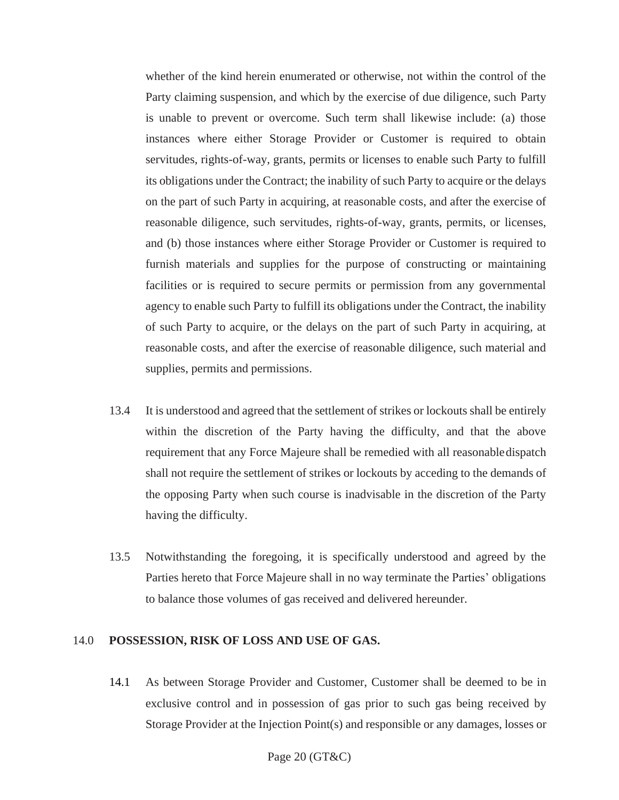whether of the kind herein enumerated or otherwise, not within the control of the Party claiming suspension, and which by the exercise of due diligence, such Party is unable to prevent or overcome. Such term shall likewise include: (a) those instances where either Storage Provider or Customer is required to obtain servitudes, rights-of-way, grants, permits or licenses to enable such Party to fulfill its obligations under the Contract; the inability of such Party to acquire or the delays on the part of such Party in acquiring, at reasonable costs, and after the exercise of reasonable diligence, such servitudes, rights-of-way, grants, permits, or licenses, and (b) those instances where either Storage Provider or Customer is required to furnish materials and supplies for the purpose of constructing or maintaining facilities or is required to secure permits or permission from any governmental agency to enable such Party to fulfill its obligations under the Contract, the inability of such Party to acquire, or the delays on the part of such Party in acquiring, at reasonable costs, and after the exercise of reasonable diligence, such material and supplies, permits and permissions.

- 13.4 It is understood and agreed that the settlement of strikes or lockouts shall be entirely within the discretion of the Party having the difficulty, and that the above requirement that any Force Majeure shall be remedied with all reasonabledispatch shall not require the settlement of strikes or lockouts by acceding to the demands of the opposing Party when such course is inadvisable in the discretion of the Party having the difficulty.
- 13.5 Notwithstanding the foregoing, it is specifically understood and agreed by the Parties hereto that Force Majeure shall in no way terminate the Parties' obligations to balance those volumes of gas received and delivered hereunder.

#### <span id="page-35-0"></span>14.0 **POSSESSION, RISK OF LOSS AND USE OF GAS.**

14.1 As between Storage Provider and Customer, Customer shall be deemed to be in exclusive control and in possession of gas prior to such gas being received by Storage Provider at the Injection Point(s) and responsible or any damages, losses or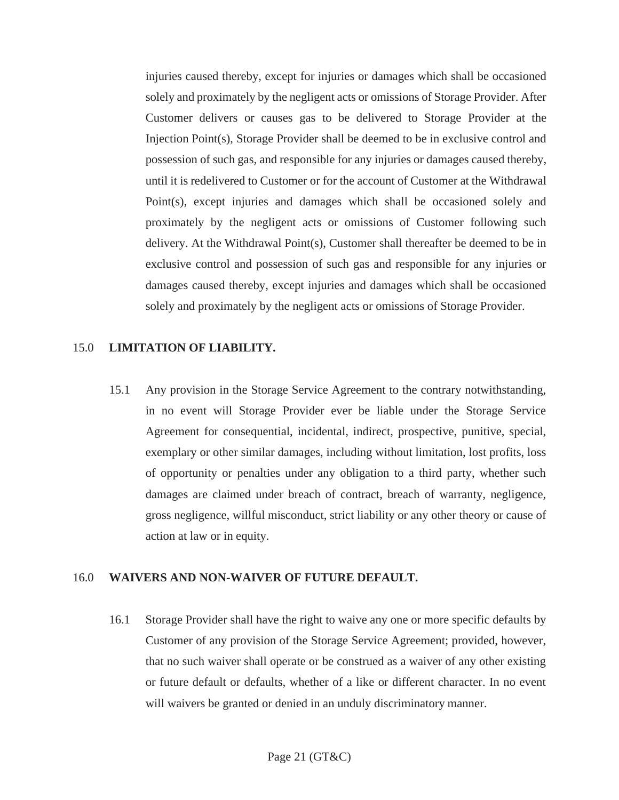injuries caused thereby, except for injuries or damages which shall be occasioned solely and proximately by the negligent acts or omissions of Storage Provider. After Customer delivers or causes gas to be delivered to Storage Provider at the Injection Point(s), Storage Provider shall be deemed to be in exclusive control and possession of such gas, and responsible for any injuries or damages caused thereby, until it is redelivered to Customer or for the account of Customer at the Withdrawal Point(s), except injuries and damages which shall be occasioned solely and proximately by the negligent acts or omissions of Customer following such delivery. At the Withdrawal Point(s), Customer shall thereafter be deemed to be in exclusive control and possession of such gas and responsible for any injuries or damages caused thereby, except injuries and damages which shall be occasioned solely and proximately by the negligent acts or omissions of Storage Provider.

# <span id="page-36-0"></span>15.0 **LIMITATION OF LIABILITY.**

15.1 Any provision in the Storage Service Agreement to the contrary notwithstanding, in no event will Storage Provider ever be liable under the Storage Service Agreement for consequential, incidental, indirect, prospective, punitive, special, exemplary or other similar damages, including without limitation, lost profits, loss of opportunity or penalties under any obligation to a third party, whether such damages are claimed under breach of contract, breach of warranty, negligence, gross negligence, willful misconduct, strict liability or any other theory or cause of action at law or in equity.

# <span id="page-36-1"></span>16.0 **WAIVERS AND NON-WAIVER OF FUTURE DEFAULT.**

16.1 Storage Provider shall have the right to waive any one or more specific defaults by Customer of any provision of the Storage Service Agreement; provided, however, that no such waiver shall operate or be construed as a waiver of any other existing or future default or defaults, whether of a like or different character. In no event will waivers be granted or denied in an unduly discriminatory manner.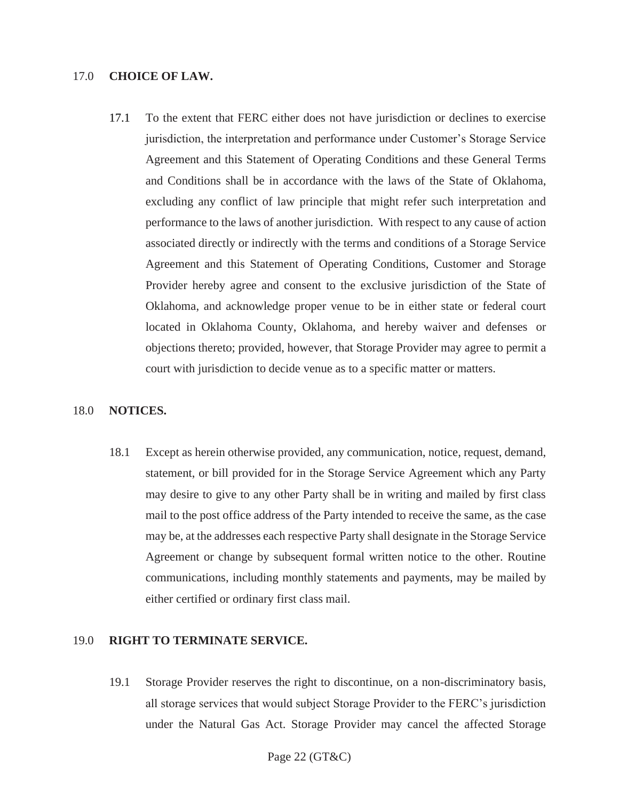#### <span id="page-37-0"></span>17.0 **CHOICE OF LAW.**

17.1 To the extent that FERC either does not have jurisdiction or declines to exercise jurisdiction, the interpretation and performance under Customer's Storage Service Agreement and this Statement of Operating Conditions and these General Terms and Conditions shall be in accordance with the laws of the State of Oklahoma, excluding any conflict of law principle that might refer such interpretation and performance to the laws of another jurisdiction. With respect to any cause of action associated directly or indirectly with the terms and conditions of a Storage Service Agreement and this Statement of Operating Conditions, Customer and Storage Provider hereby agree and consent to the exclusive jurisdiction of the State of Oklahoma, and acknowledge proper venue to be in either state or federal court located in Oklahoma County, Oklahoma, and hereby waiver and defenses or objections thereto; provided, however, that Storage Provider may agree to permit a court with jurisdiction to decide venue as to a specific matter or matters.

#### <span id="page-37-1"></span>18.0 **NOTICES.**

18.1 Except as herein otherwise provided, any communication, notice, request, demand, statement, or bill provided for in the Storage Service Agreement which any Party may desire to give to any other Party shall be in writing and mailed by first class mail to the post office address of the Party intended to receive the same, as the case may be, at the addresses each respective Party shall designate in the Storage Service Agreement or change by subsequent formal written notice to the other. Routine communications, including monthly statements and payments, may be mailed by either certified or ordinary first class mail.

#### <span id="page-37-2"></span>19.0 **RIGHT TO TERMINATE SERVICE.**

19.1 Storage Provider reserves the right to discontinue, on a non-discriminatory basis, all storage services that would subject Storage Provider to the FERC's jurisdiction under the Natural Gas Act. Storage Provider may cancel the affected Storage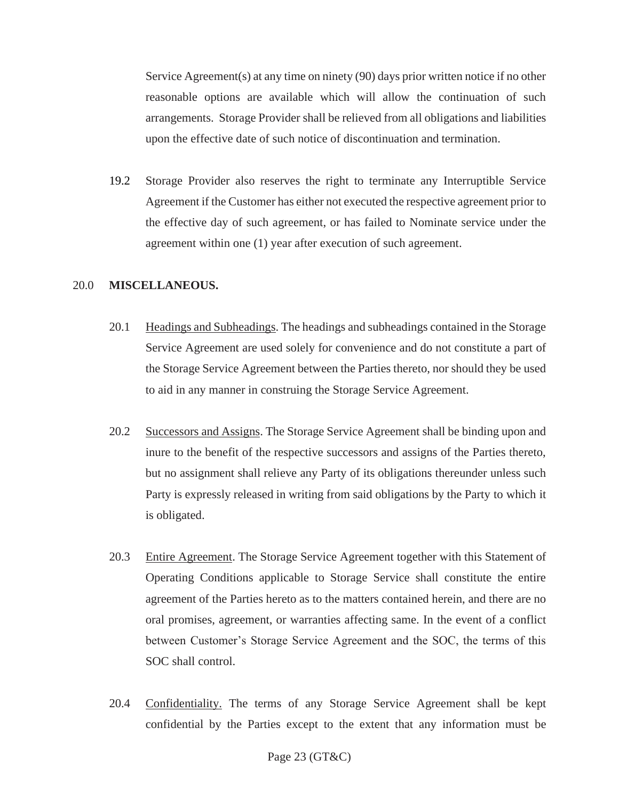Service Agreement(s) at any time on ninety (90) days prior written notice if no other reasonable options are available which will allow the continuation of such arrangements. Storage Provider shall be relieved from all obligations and liabilities upon the effective date of such notice of discontinuation and termination.

19.2 Storage Provider also reserves the right to terminate any Interruptible Service Agreement if the Customer has either not executed the respective agreement prior to the effective day of such agreement, or has failed to Nominate service under the agreement within one (1) year after execution of such agreement.

#### <span id="page-38-0"></span>20.0 **MISCELLANEOUS.**

- 20.1 Headings and Subheadings. The headings and subheadings contained in the Storage Service Agreement are used solely for convenience and do not constitute a part of the Storage Service Agreement between the Parties thereto, nor should they be used to aid in any manner in construing the Storage Service Agreement.
- 20.2 Successors and Assigns. The Storage Service Agreement shall be binding upon and inure to the benefit of the respective successors and assigns of the Parties thereto, but no assignment shall relieve any Party of its obligations thereunder unless such Party is expressly released in writing from said obligations by the Party to which it is obligated.
- 20.3 Entire Agreement. The Storage Service Agreement together with this Statement of Operating Conditions applicable to Storage Service shall constitute the entire agreement of the Parties hereto as to the matters contained herein, and there are no oral promises, agreement, or warranties affecting same. In the event of a conflict between Customer's Storage Service Agreement and the SOC, the terms of this SOC shall control.
- 20.4 Confidentiality. The terms of any Storage Service Agreement shall be kept confidential by the Parties except to the extent that any information must be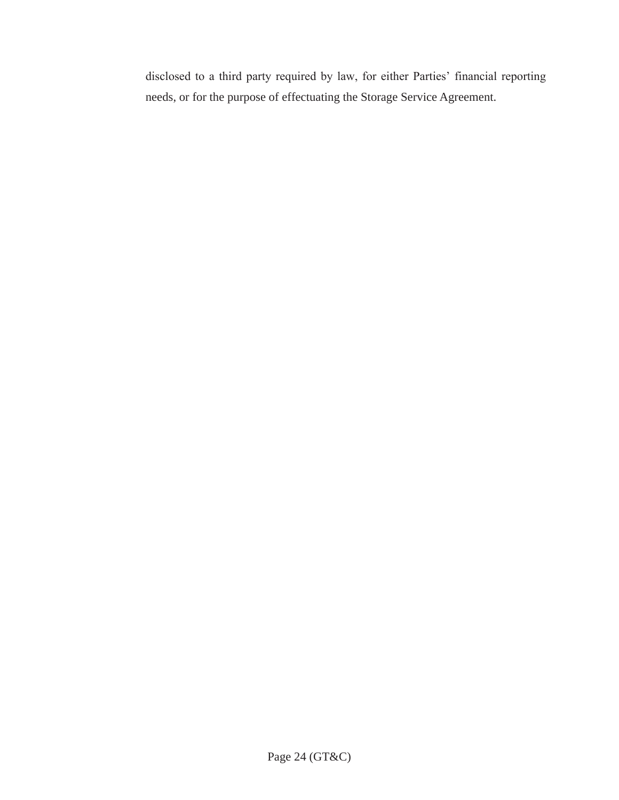disclosed to a third party required by law, for either Parties' financial reporting needs, or for the purpose of effectuating the Storage Service Agreement.